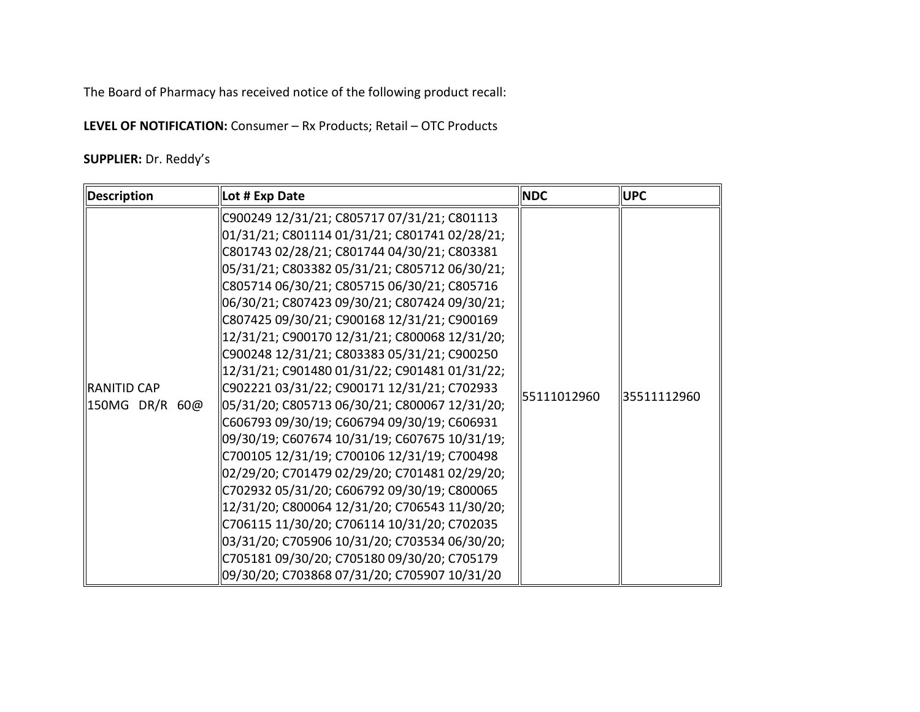The Board of Pharmacy has received notice of the following product recall:

**LEVEL OF NOTIFICATION:** Consumer – Rx Products; Retail – OTC Products

**SUPPLIER:** Dr. Reddy's

| <b>Description</b> | Lot # Exp Date                                | <b>NDC</b>  | <b>UPC</b>  |
|--------------------|-----------------------------------------------|-------------|-------------|
|                    | C900249 12/31/21; C805717 07/31/21; C801113   |             |             |
|                    | 01/31/21; C801114 01/31/21; C801741 02/28/21; |             |             |
|                    | C801743 02/28/21; C801744 04/30/21; C803381   |             |             |
|                    | 05/31/21; C803382 05/31/21; C805712 06/30/21; |             |             |
|                    | C805714 06/30/21; C805715 06/30/21; C805716   |             |             |
|                    | 06/30/21; C807423 09/30/21; C807424 09/30/21; |             |             |
|                    | C807425 09/30/21; C900168 12/31/21; C900169   |             |             |
|                    | 12/31/21; C900170 12/31/21; C800068 12/31/20; |             |             |
|                    | C900248 12/31/21; C803383 05/31/21; C900250   |             | 35511112960 |
|                    | 12/31/21; C901480 01/31/22; C901481 01/31/22; |             |             |
| IRANITID CAP       | C902221 03/31/22; C900171 12/31/21; C702933   |             |             |
| 150MG DR/R 60@     | 05/31/20; C805713 06/30/21; C800067 12/31/20; | 55111012960 |             |
|                    | C606793 09/30/19; C606794 09/30/19; C606931   |             |             |
|                    | 09/30/19; C607674 10/31/19; C607675 10/31/19; |             |             |
|                    | C700105 12/31/19; C700106 12/31/19; C700498   |             |             |
|                    | 02/29/20; C701479 02/29/20; C701481 02/29/20; |             |             |
|                    | C702932 05/31/20; C606792 09/30/19; C800065   |             |             |
|                    | 12/31/20; C800064 12/31/20; C706543 11/30/20; |             |             |
|                    | C706115 11/30/20; C706114 10/31/20; C702035   |             |             |
|                    | 03/31/20; C705906 10/31/20; C703534 06/30/20; |             |             |
|                    | C705181 09/30/20; C705180 09/30/20; C705179   |             |             |
|                    | 09/30/20; C703868 07/31/20; C705907 10/31/20  |             |             |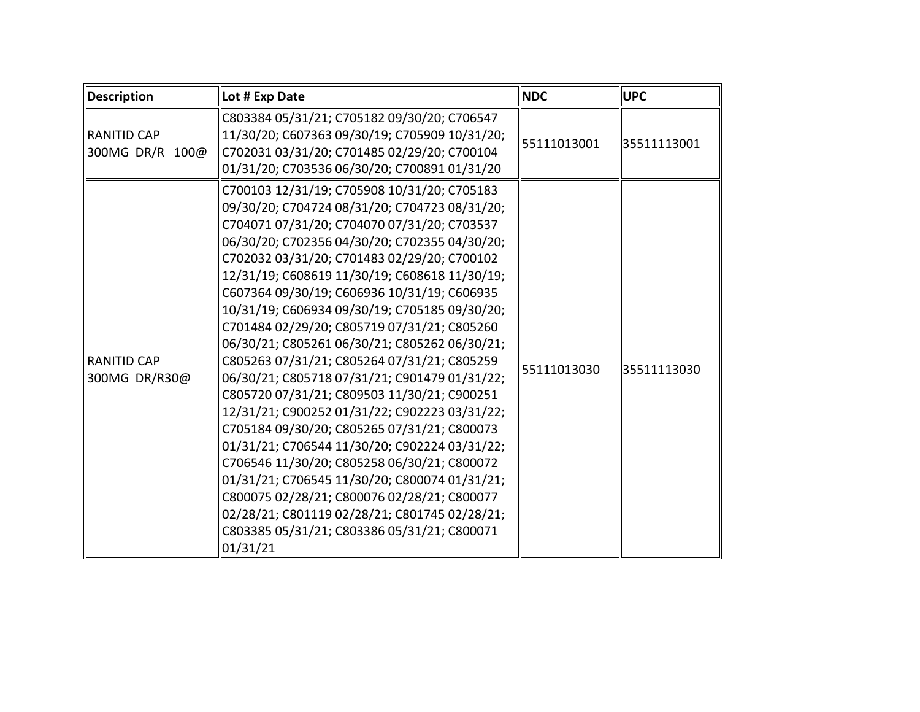| Description                          | Lot # Exp Date                                                                                                                                                                                                                                                                                                                                                                                                                                                                                                                                                                                                                                                                                                                                                                                                                                                                                                                                                                                                                                          | <b>NDC</b>  | <b>UPC</b>  |
|--------------------------------------|---------------------------------------------------------------------------------------------------------------------------------------------------------------------------------------------------------------------------------------------------------------------------------------------------------------------------------------------------------------------------------------------------------------------------------------------------------------------------------------------------------------------------------------------------------------------------------------------------------------------------------------------------------------------------------------------------------------------------------------------------------------------------------------------------------------------------------------------------------------------------------------------------------------------------------------------------------------------------------------------------------------------------------------------------------|-------------|-------------|
| RANITID CAP<br>300MG DR/R 100@       | C803384 05/31/21; C705182 09/30/20; C706547<br>11/30/20; C607363 09/30/19; C705909 10/31/20;<br>C702031 03/31/20; C701485 02/29/20; C700104<br>01/31/20; C703536 06/30/20; C700891 01/31/20                                                                                                                                                                                                                                                                                                                                                                                                                                                                                                                                                                                                                                                                                                                                                                                                                                                             | 55111013001 | 35511113001 |
| <b>IRANITID CAP</b><br>300MG DR/R30@ | C700103 12/31/19; C705908 10/31/20; C705183<br>09/30/20; C704724 08/31/20; C704723 08/31/20;<br>C704071 07/31/20; C704070 07/31/20; C703537<br>06/30/20; C702356 04/30/20; C702355 04/30/20;<br>C702032 03/31/20; C701483 02/29/20; C700102<br>12/31/19; C608619 11/30/19; C608618 11/30/19;<br>C607364 09/30/19; C606936 10/31/19; C606935<br>10/31/19; C606934 09/30/19; C705185 09/30/20;<br>C701484 02/29/20; C805719 07/31/21; C805260<br>06/30/21; C805261 06/30/21; C805262 06/30/21;<br>C805263 07/31/21; C805264 07/31/21; C805259<br>06/30/21; C805718 07/31/21; C901479 01/31/22;<br>C805720 07/31/21; C809503 11/30/21; C900251<br>12/31/21; C900252 01/31/22; C902223 03/31/22;<br>C705184 09/30/20; C805265 07/31/21; C800073<br>01/31/21; C706544 11/30/20; C902224 03/31/22;<br>C706546 11/30/20; C805258 06/30/21; C800072<br>01/31/21; C706545 11/30/20; C800074 01/31/21;<br>C800075 02/28/21; C800076 02/28/21; C800077<br>02/28/21; C801119 02/28/21; C801745 02/28/21;<br>C803385 05/31/21; C803386 05/31/21; C800071<br>01/31/21 | 55111013030 | 35511113030 |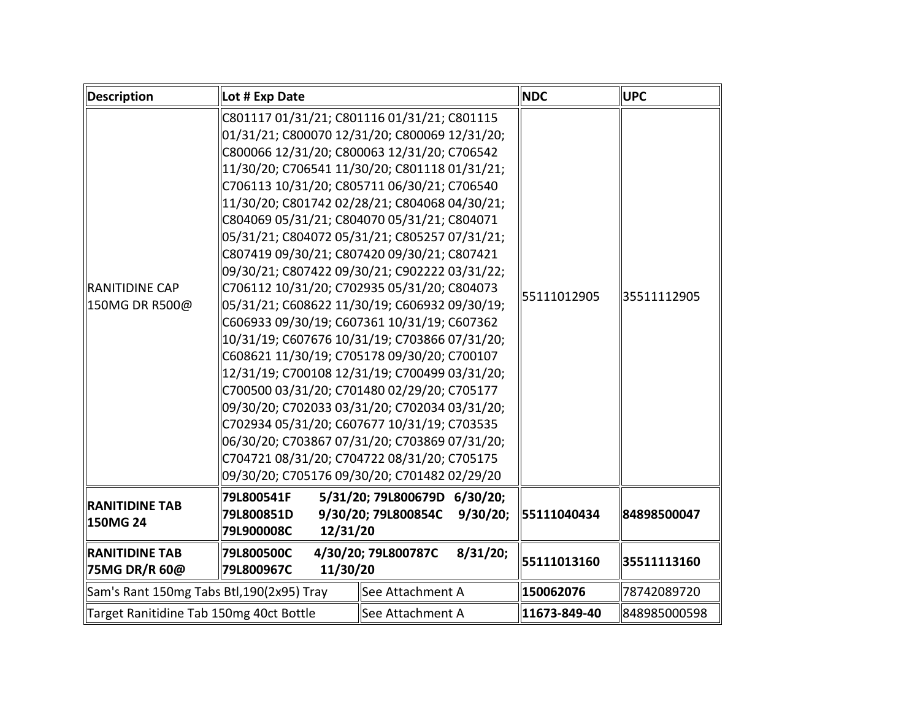| <b>Description</b>                        | Lot # Exp Date                                                          |                                                                                                                                                                                                                                                                                                                                                                                                                                                                                                                                                                                                                                                                                                                                                                                                                                                                                                                                                                                                                                                                                             | <b>NDC</b>   | <b>UPC</b>   |
|-------------------------------------------|-------------------------------------------------------------------------|---------------------------------------------------------------------------------------------------------------------------------------------------------------------------------------------------------------------------------------------------------------------------------------------------------------------------------------------------------------------------------------------------------------------------------------------------------------------------------------------------------------------------------------------------------------------------------------------------------------------------------------------------------------------------------------------------------------------------------------------------------------------------------------------------------------------------------------------------------------------------------------------------------------------------------------------------------------------------------------------------------------------------------------------------------------------------------------------|--------------|--------------|
| <b>RANITIDINE CAP</b><br>150MG DR R500@   |                                                                         | C801117 01/31/21; C801116 01/31/21; C801115<br>01/31/21; C800070 12/31/20; C800069 12/31/20;<br>C800066 12/31/20; C800063 12/31/20; C706542<br>11/30/20; C706541 11/30/20; C801118 01/31/21;<br>C706113 10/31/20; C805711 06/30/21; C706540<br>11/30/20; C801742 02/28/21; C804068 04/30/21;<br>C804069 05/31/21; C804070 05/31/21; C804071<br>05/31/21; C804072 05/31/21; C805257 07/31/21;<br>C807419 09/30/21; C807420 09/30/21; C807421<br>09/30/21; C807422 09/30/21; C902222 03/31/22;<br>C706112 10/31/20; C702935 05/31/20; C804073<br>05/31/21; C608622 11/30/19; C606932 09/30/19;<br>C606933 09/30/19; C607361 10/31/19; C607362<br>10/31/19; C607676 10/31/19; C703866 07/31/20;<br>C608621 11/30/19; C705178 09/30/20; C700107<br>12/31/19; C700108 12/31/19; C700499 03/31/20;<br>C700500 03/31/20; C701480 02/29/20; C705177<br>09/30/20; C702033 03/31/20; C702034 03/31/20;<br>C702934 05/31/20; C607677 10/31/19; C703535<br>06/30/20; C703867 07/31/20; C703869 07/31/20;<br>C704721 08/31/20; C704722 08/31/20; C705175<br>09/30/20; C705176 09/30/20; C701482 02/29/20 | 55111012905  | 35511112905  |
| <b>RANITIDINE TAB</b><br>150MG 24         | 79L800541F<br>79L800851D<br>79L900008C<br>12/31/20                      | 5/31/20; 79L800679D 6/30/20;<br>9/30/20; 79L800854C<br>9/30/20;                                                                                                                                                                                                                                                                                                                                                                                                                                                                                                                                                                                                                                                                                                                                                                                                                                                                                                                                                                                                                             | 55111040434  | 84898500047  |
| <b>RANITIDINE TAB</b><br>75MG DR/R 60@    | 79L800500C<br>4/30/20; 79L800787C<br>8/31/20;<br>11/30/20<br>79L800967C |                                                                                                                                                                                                                                                                                                                                                                                                                                                                                                                                                                                                                                                                                                                                                                                                                                                                                                                                                                                                                                                                                             |              | 35511113160  |
| Sam's Rant 150mg Tabs Btl, 190(2x95) Tray |                                                                         | See Attachment A                                                                                                                                                                                                                                                                                                                                                                                                                                                                                                                                                                                                                                                                                                                                                                                                                                                                                                                                                                                                                                                                            | 150062076    | 78742089720  |
| Target Ranitidine Tab 150mg 40ct Bottle   |                                                                         | See Attachment A                                                                                                                                                                                                                                                                                                                                                                                                                                                                                                                                                                                                                                                                                                                                                                                                                                                                                                                                                                                                                                                                            | 11673-849-40 | 848985000598 |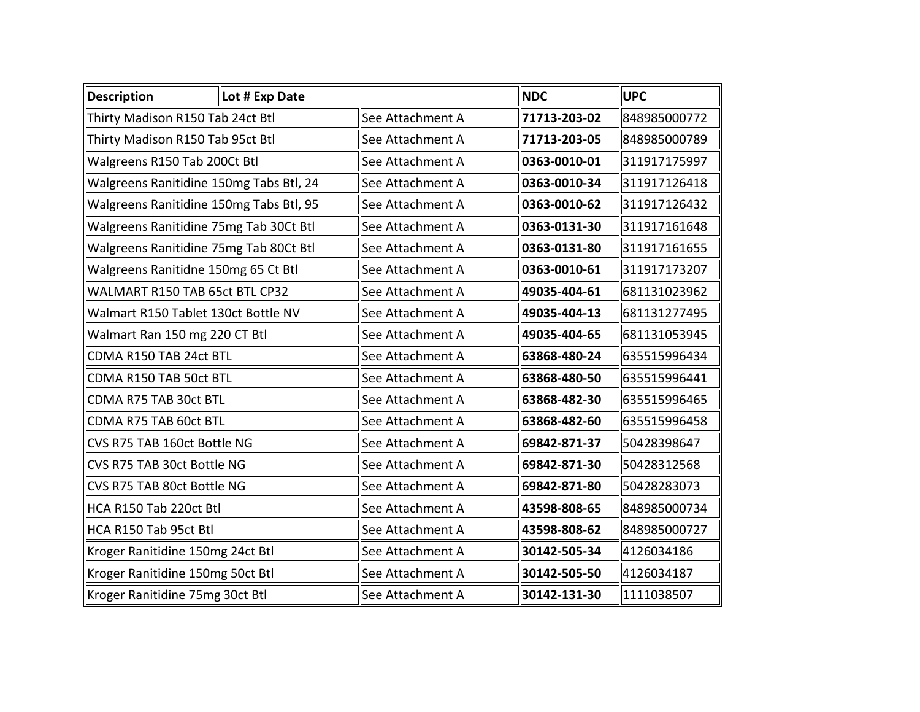| <b>Description</b>                      | Lot # Exp Date |                  | <b>NDC</b>   | <b>UPC</b>   |
|-----------------------------------------|----------------|------------------|--------------|--------------|
| Thirty Madison R150 Tab 24ct Btl        |                | See Attachment A | 71713-203-02 | 848985000772 |
| Thirty Madison R150 Tab 95ct Btl        |                | See Attachment A | 71713-203-05 | 848985000789 |
| Walgreens R150 Tab 200Ct Btl            |                | See Attachment A | 0363-0010-01 | 311917175997 |
| Walgreens Ranitidine 150mg Tabs Btl, 24 |                | See Attachment A | 0363-0010-34 | 311917126418 |
| Walgreens Ranitidine 150mg Tabs Btl, 95 |                | See Attachment A | 0363-0010-62 | 311917126432 |
| Walgreens Ranitidine 75mg Tab 30Ct Btl  |                | See Attachment A | 0363-0131-30 | 311917161648 |
| Walgreens Ranitidine 75mg Tab 80Ct Btl  |                | See Attachment A | 0363-0131-80 | 311917161655 |
| Walgreens Ranitidne 150mg 65 Ct Btl     |                | See Attachment A | 0363-0010-61 | 311917173207 |
| WALMART R150 TAB 65ct BTL CP32          |                | See Attachment A | 49035-404-61 | 681131023962 |
| Walmart R150 Tablet 130ct Bottle NV     |                | See Attachment A | 49035-404-13 | 681131277495 |
| Walmart Ran 150 mg 220 CT Btl           |                | See Attachment A | 49035-404-65 | 681131053945 |
| CDMA R150 TAB 24ct BTL                  |                | See Attachment A | 63868-480-24 | 635515996434 |
| CDMA R150 TAB 50ct BTL                  |                | See Attachment A | 63868-480-50 | 635515996441 |
| CDMA R75 TAB 30ct BTL                   |                | See Attachment A | 63868-482-30 | 635515996465 |
| CDMA R75 TAB 60ct BTL                   |                | See Attachment A | 63868-482-60 | 635515996458 |
| CVS R75 TAB 160ct Bottle NG             |                | See Attachment A | 69842-871-37 | 50428398647  |
| CVS R75 TAB 30ct Bottle NG              |                | See Attachment A | 69842-871-30 | 50428312568  |
| CVS R75 TAB 80ct Bottle NG              |                | See Attachment A | 69842-871-80 | 50428283073  |
| HCA R150 Tab 220ct Btl                  |                | See Attachment A | 43598-808-65 | 848985000734 |
| HCA R150 Tab 95ct Btl                   |                | See Attachment A | 43598-808-62 | 848985000727 |
| Kroger Ranitidine 150mg 24ct Btl        |                | See Attachment A | 30142-505-34 | 4126034186   |
| Kroger Ranitidine 150mg 50ct Btl        |                | See Attachment A | 30142-505-50 | 4126034187   |
| Kroger Ranitidine 75mg 30ct Btl         |                | See Attachment A | 30142-131-30 | 1111038507   |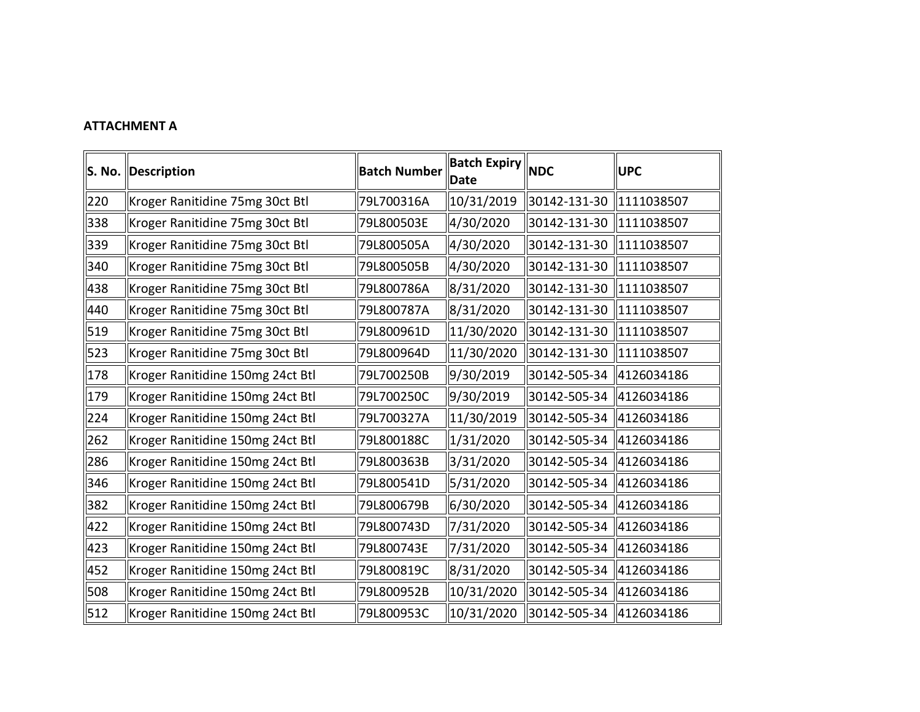## **ATTACHMENT A**

|     | S. No. Description               | <b>Batch Number</b> | <b>Batch Expiry <math>\ </math>NDC</b><br><b>Date</b> |                           | <b>UPC</b> |
|-----|----------------------------------|---------------------|-------------------------------------------------------|---------------------------|------------|
| 220 | Kroger Ranitidine 75mg 30ct Btl  | 79L700316A          | 10/31/2019                                            | 30142-131-30              | 1111038507 |
| 338 | Kroger Ranitidine 75mg 30ct Btl  | 79L800503E          | 4/30/2020                                             | 30142-131-30              | 1111038507 |
| 339 | Kroger Ranitidine 75mg 30ct Btl  | 79L800505A          | 4/30/2020                                             | 30142-131-30              | 1111038507 |
| 340 | Kroger Ranitidine 75mg 30ct Btl  | 79L800505B          | 4/30/2020                                             | 30142-131-30 11111038507  |            |
| 438 | Kroger Ranitidine 75mg 30ct Btl  | 79L800786A          | 8/31/2020                                             | 30142-131-30 11111038507  |            |
| 440 | Kroger Ranitidine 75mg 30ct Btl  | 79L800787A          | 8/31/2020                                             | 30142-131-30   1111038507 |            |
| 519 | Kroger Ranitidine 75mg 30ct Btl  | 79L800961D          | 11/30/2020                                            | 30142-131-30              | 1111038507 |
| 523 | Kroger Ranitidine 75mg 30ct Btl  | 79L800964D          | 11/30/2020                                            | 30142-131-30   1111038507 |            |
| 178 | Kroger Ranitidine 150mg 24ct Btl | 79L700250B          | 9/30/2019                                             | 30142-505-34 4126034186   |            |
| 179 | Kroger Ranitidine 150mg 24ct Btl | 79L700250C          | 9/30/2019                                             | 30142-505-34 4126034186   |            |
| 224 | Kroger Ranitidine 150mg 24ct Btl | 79L700327A          | 11/30/2019                                            | 30142-505-34 4126034186   |            |
| 262 | Kroger Ranitidine 150mg 24ct Btl | 79L800188C          | $\ 1/31/2020$                                         | 30142-505-34 4126034186   |            |
| 286 | Kroger Ranitidine 150mg 24ct Btl | 79L800363B          | 3/31/2020                                             | 30142-505-34 4126034186   |            |
| 346 | Kroger Ranitidine 150mg 24ct Btl | 79L800541D          | 5/31/2020                                             | 30142-505-34 4126034186   |            |
| 382 | Kroger Ranitidine 150mg 24ct Btl | 79L800679B          | 6/30/2020                                             | 30142-505-34 4126034186   |            |
| 422 | Kroger Ranitidine 150mg 24ct Btl | 79L800743D          | 7/31/2020                                             | 30142-505-34 4126034186   |            |
| 423 | Kroger Ranitidine 150mg 24ct Btl | 79L800743E          | 7/31/2020                                             | 30142-505-34 4126034186   |            |
| 452 | Kroger Ranitidine 150mg 24ct Btl | 79L800819C          | 8/31/2020                                             | 30142-505-34 4126034186   |            |
| 508 | Kroger Ranitidine 150mg 24ct Btl | 79L800952B          | $\parallel$ 10/31/2020                                | 30142-505-34 4126034186   |            |
| 512 | Kroger Ranitidine 150mg 24ct Btl | 79L800953C          | $\parallel$ 10/31/2020                                | 30142-505-34  4126034186  |            |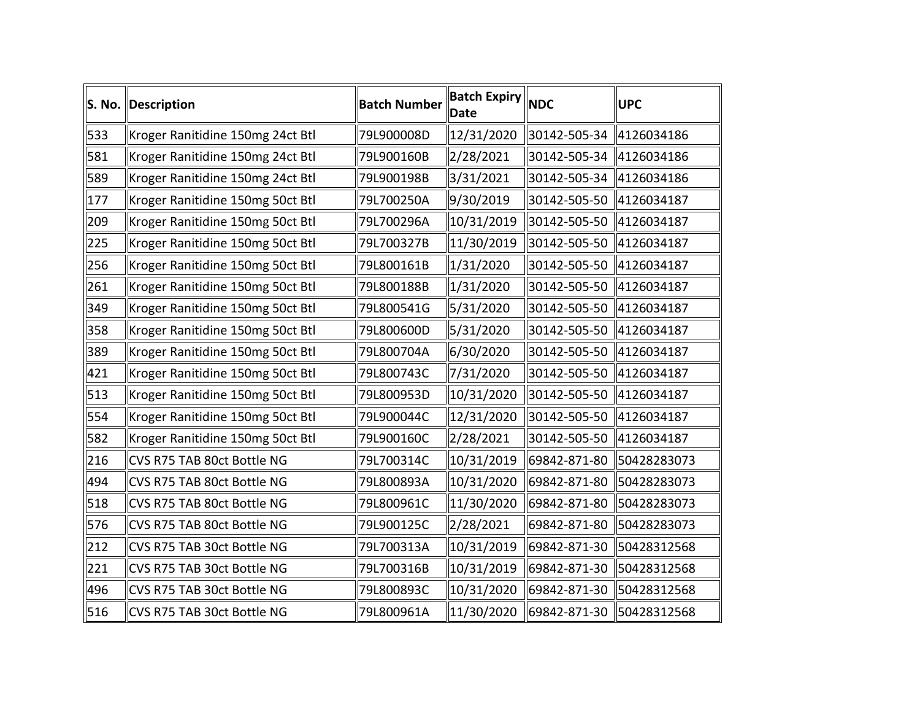| S. No. | Description                      | <b>Batch Number</b> | <b>Batch Expiry NDC</b><br><b>Date</b> |                           | <b>UPC</b>  |
|--------|----------------------------------|---------------------|----------------------------------------|---------------------------|-------------|
| 533    | Kroger Ranitidine 150mg 24ct Btl | 79L900008D          | 12/31/2020                             | 30142-505-34   4126034186 |             |
| 581    | Kroger Ranitidine 150mg 24ct Btl | 79L900160B          | 2/28/2021                              | 30142-505-34 4126034186   |             |
| 589    | Kroger Ranitidine 150mg 24ct Btl | 79L900198B          | 3/31/2021                              | 30142-505-34 4126034186   |             |
| 177    | Kroger Ranitidine 150mg 50ct Btl | 79L700250A          | 9/30/2019                              | 30142-505-50 4126034187   |             |
| 209    | Kroger Ranitidine 150mg 50ct Btl | 79L700296A          | 10/31/2019                             | 30142-505-50 4126034187   |             |
| 225    | Kroger Ranitidine 150mg 50ct Btl | 79L700327B          | 11/30/2019                             | 30142-505-50 4126034187   |             |
| 256    | Kroger Ranitidine 150mg 50ct Btl | 79L800161B          | 1/31/2020                              | 30142-505-50 4126034187   |             |
| 261    | Kroger Ranitidine 150mg 50ct Btl | 79L800188B          | 1/31/2020                              | 30142-505-50 4126034187   |             |
| 349    | Kroger Ranitidine 150mg 50ct Btl | 79L800541G          | 5/31/2020                              | 30142-505-50 4126034187   |             |
| 358    | Kroger Ranitidine 150mg 50ct Btl | 79L800600D          | 5/31/2020                              | 30142-505-50 4126034187   |             |
| 389    | Kroger Ranitidine 150mg 50ct Btl | 79L800704A          | 6/30/2020                              | 30142-505-50 4126034187   |             |
| 421    | Kroger Ranitidine 150mg 50ct Btl | 79L800743C          | 7/31/2020                              | 30142-505-50 4126034187   |             |
| 513    | Kroger Ranitidine 150mg 50ct Btl | 79L800953D          | 10/31/2020                             | 30142-505-50 4126034187   |             |
| 554    | Kroger Ranitidine 150mg 50ct Btl | 79L900044C          | 12/31/2020                             | 30142-505-50 4126034187   |             |
| 582    | Kroger Ranitidine 150mg 50ct Btl | 79L900160C          | 2/28/2021                              | 30142-505-50 4126034187   |             |
| 216    | CVS R75 TAB 80ct Bottle NG       | 79L700314C          | 10/31/2019                             | 69842-871-80 50428283073  |             |
| 494    | CVS R75 TAB 80ct Bottle NG       | 79L800893A          | 10/31/2020                             | 69842-871-80 50428283073  |             |
| 518    | CVS R75 TAB 80ct Bottle NG       | 79L800961C          | 11/30/2020                             | 69842-871-80 50428283073  |             |
| 576    | CVS R75 TAB 80ct Bottle NG       | 79L900125C          | 2/28/2021                              | 69842-871-80 50428283073  |             |
| 212    | CVS R75 TAB 30ct Bottle NG       | 79L700313A          | 10/31/2019                             | 69842-871-30 50428312568  |             |
| 221    | CVS R75 TAB 30ct Bottle NG       | 79L700316B          | 10/31/2019                             | 69842-871-30              | 50428312568 |
| 496    | CVS R75 TAB 30ct Bottle NG       | 79L800893C          | 10/31/2020                             | 69842-871-30              | 50428312568 |
| 516    | CVS R75 TAB 30ct Bottle NG       | 79L800961A          | 11/30/2020                             | 69842-871-30 50428312568  |             |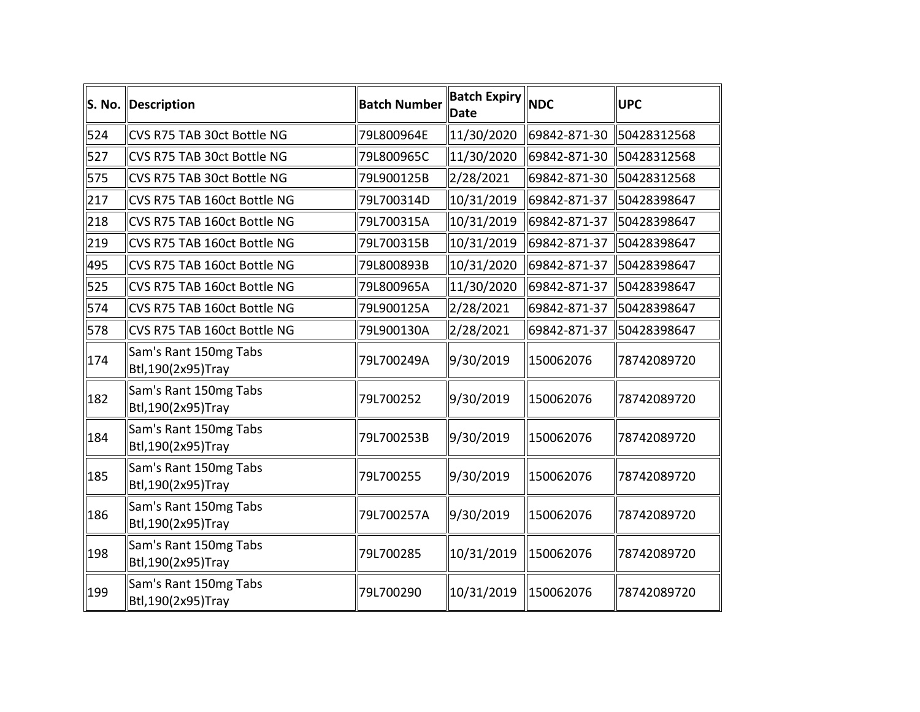| S. No. | Description                                  | <b>Batch Number</b> | <b>Batch Expiry</b><br><b>Date</b> | <b>NDC</b>               | <b>UPC</b>   |
|--------|----------------------------------------------|---------------------|------------------------------------|--------------------------|--------------|
| 524    | CVS R75 TAB 30ct Bottle NG                   | 79L800964E          | 11/30/2020                         | 69842-871-30 50428312568 |              |
| 527    | CVS R75 TAB 30ct Bottle NG                   | 79L800965C          | 11/30/2020                         | 69842-871-30             | 50428312568  |
| 575    | CVS R75 TAB 30ct Bottle NG                   | 79L900125B          | 2/28/2021                          | 69842-871-30             | 50428312568  |
| 217    | CVS R75 TAB 160ct Bottle NG                  | 79L700314D          | 10/31/2019                         | 69842-871-37             | 150428398647 |
| 218    | CVS R75 TAB 160ct Bottle NG                  | 79L700315A          | 10/31/2019                         | 69842-871-37             | 50428398647  |
| 219    | CVS R75 TAB 160ct Bottle NG                  | 79L700315B          | 10/31/2019                         | 69842-871-37             | 150428398647 |
| 495    | CVS R75 TAB 160ct Bottle NG                  | 79L800893B          | 10/31/2020                         | 69842-871-37             | 50428398647  |
| 525    | CVS R75 TAB 160ct Bottle NG                  | 79L800965A          | 11/30/2020                         | 69842-871-37             | 50428398647  |
| 574    | CVS R75 TAB 160ct Bottle NG                  | 79L900125A          | 2/28/2021                          | 69842-871-37             | 50428398647  |
| 578    | CVS R75 TAB 160ct Bottle NG                  | 79L900130A          | 2/28/2021                          | 69842-871-37             | 50428398647  |
| 174    | Sam's Rant 150mg Tabs<br>Btl, 190(2x95) Tray | 79L700249A          | 9/30/2019                          | 150062076                | 78742089720  |
| 182    | Sam's Rant 150mg Tabs<br>Btl, 190(2x95) Tray | 79L700252           | 9/30/2019                          | 150062076                | 78742089720  |
| 184    | Sam's Rant 150mg Tabs<br>Btl, 190(2x95) Tray | 79L700253B          | 9/30/2019                          | 150062076                | 78742089720  |
| 185    | Sam's Rant 150mg Tabs<br>Btl, 190(2x95) Tray | 79L700255           | 9/30/2019                          | 150062076                | 78742089720  |
| 186    | Sam's Rant 150mg Tabs<br>Btl, 190(2x95) Tray | 79L700257A          | 9/30/2019                          | 150062076                | 78742089720  |
| 198    | Sam's Rant 150mg Tabs<br>Btl, 190(2x95) Tray | 79L700285           | 10/31/2019                         | 150062076                | 78742089720  |
| 199    | Sam's Rant 150mg Tabs<br>Btl, 190(2x95) Tray | 79L700290           | 10/31/2019                         | 150062076                | 78742089720  |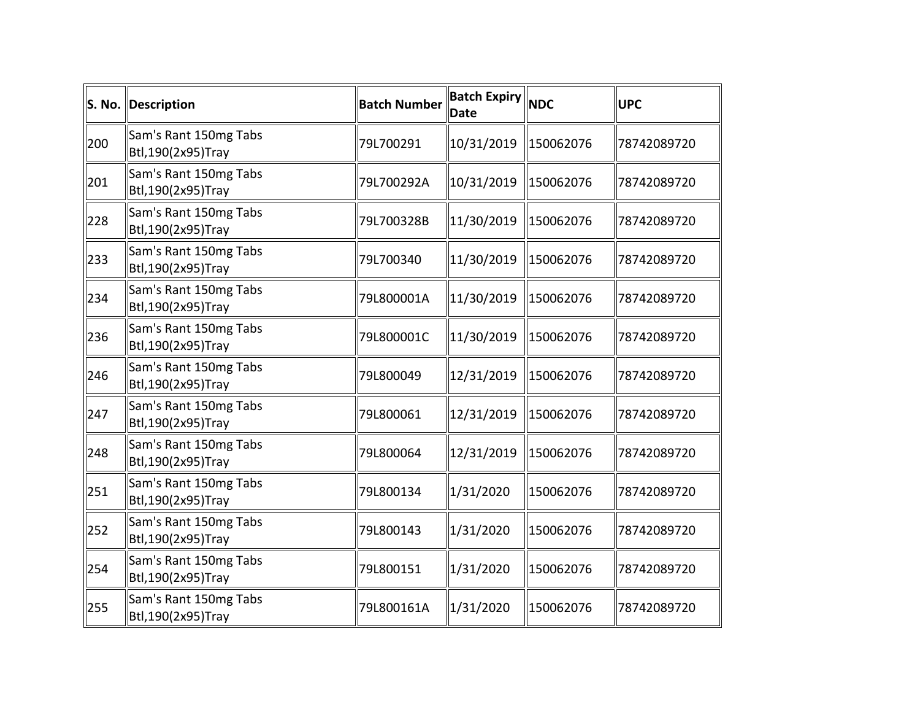|     | S. No. Description                           | <b>Batch Number</b> | <b>Batch Expiry NDC</b><br><b>Date</b> |           | <b>UPC</b>  |
|-----|----------------------------------------------|---------------------|----------------------------------------|-----------|-------------|
| 200 | Sam's Rant 150mg Tabs<br>Btl,190(2x95)Tray   | 79L700291           | 10/31/2019                             | 150062076 | 78742089720 |
| 201 | Sam's Rant 150mg Tabs<br>Btl, 190(2x95) Tray | 79L700292A          | 10/31/2019                             | 150062076 | 78742089720 |
| 228 | Sam's Rant 150mg Tabs<br>Btl, 190(2x95) Tray | 79L700328B          | 11/30/2019                             | 150062076 | 78742089720 |
| 233 | Sam's Rant 150mg Tabs<br>Btl, 190(2x95) Tray | 79L700340           | 11/30/2019                             | 150062076 | 78742089720 |
| 234 | Sam's Rant 150mg Tabs<br>Btl, 190(2x95) Tray | 79L800001A          | 11/30/2019                             | 150062076 | 78742089720 |
| 236 | Sam's Rant 150mg Tabs<br>Btl, 190(2x95) Tray | 79L800001C          | 11/30/2019                             | 150062076 | 78742089720 |
| 246 | Sam's Rant 150mg Tabs<br>Btl, 190(2x95) Tray | 79L800049           | 12/31/2019                             | 150062076 | 78742089720 |
| 247 | Sam's Rant 150mg Tabs<br>Btl, 190(2x95) Tray | 79L800061           | 12/31/2019                             | 150062076 | 78742089720 |
| 248 | Sam's Rant 150mg Tabs<br>Btl, 190(2x95) Tray | 79L800064           | 12/31/2019                             | 150062076 | 78742089720 |
| 251 | Sam's Rant 150mg Tabs<br>Btl, 190(2x95) Tray | 79L800134           | 1/31/2020                              | 150062076 | 78742089720 |
| 252 | Sam's Rant 150mg Tabs<br>Btl, 190(2x95) Tray | 79L800143           | 1/31/2020                              | 150062076 | 78742089720 |
| 254 | Sam's Rant 150mg Tabs<br>Btl, 190(2x95) Tray | 79L800151           | 1/31/2020                              | 150062076 | 78742089720 |
| 255 | Sam's Rant 150mg Tabs<br>Btl,190(2x95)Tray   | 79L800161A          | 1/31/2020                              | 150062076 | 78742089720 |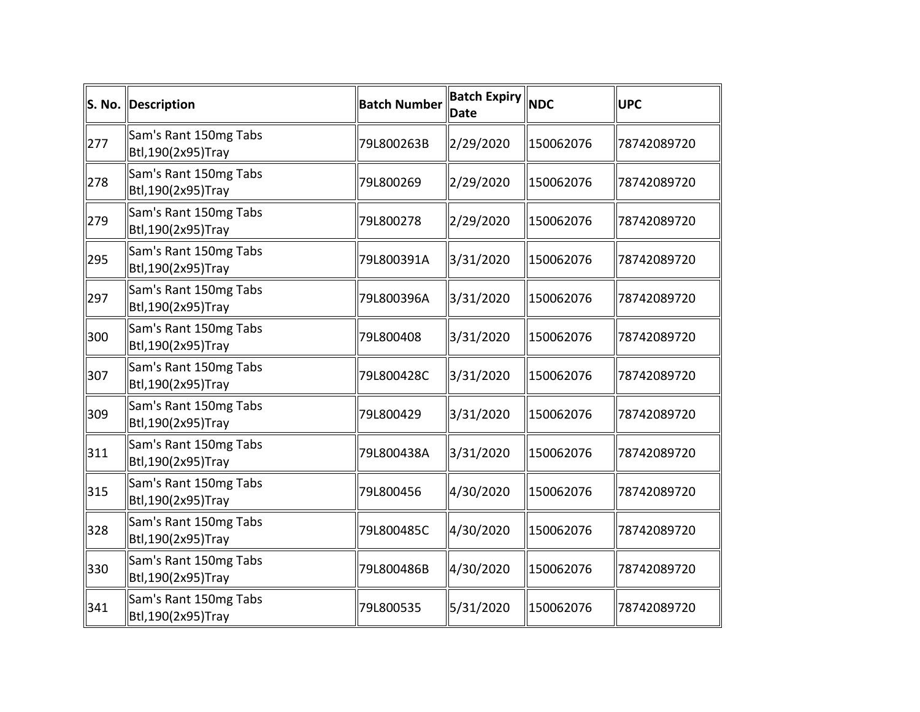|     | S. No. Description                           | <b>Batch Number</b> | <b>Batch Expiry NDC</b><br><b>Date</b> |           | UPC         |
|-----|----------------------------------------------|---------------------|----------------------------------------|-----------|-------------|
| 277 | Sam's Rant 150mg Tabs<br>Btl, 190(2x95) Tray | 79L800263B          | 2/29/2020                              | 150062076 | 78742089720 |
| 278 | Sam's Rant 150mg Tabs<br>Btl, 190(2x95) Tray | 79L800269           | 2/29/2020                              | 150062076 | 78742089720 |
| 279 | Sam's Rant 150mg Tabs<br>Btl, 190(2x95) Tray | 79L800278           | 2/29/2020                              | 150062076 | 78742089720 |
| 295 | Sam's Rant 150mg Tabs<br>Btl, 190(2x95) Tray | 79L800391A          | 3/31/2020                              | 150062076 | 78742089720 |
| 297 | Sam's Rant 150mg Tabs<br>Btl, 190(2x95) Tray | 79L800396A          | 3/31/2020                              | 150062076 | 78742089720 |
| 300 | Sam's Rant 150mg Tabs<br>Btl, 190(2x95) Tray | 79L800408           | 3/31/2020                              | 150062076 | 78742089720 |
| 307 | Sam's Rant 150mg Tabs<br>Btl, 190(2x95) Tray | 79L800428C          | 3/31/2020                              | 150062076 | 78742089720 |
| 309 | Sam's Rant 150mg Tabs<br>Btl, 190(2x95) Tray | 79L800429           | 3/31/2020                              | 150062076 | 78742089720 |
| 311 | Sam's Rant 150mg Tabs<br>Btl, 190(2x95) Tray | 79L800438A          | 3/31/2020                              | 150062076 | 78742089720 |
| 315 | Sam's Rant 150mg Tabs<br>Btl, 190(2x95) Tray | 79L800456           | 4/30/2020                              | 150062076 | 78742089720 |
| 328 | Sam's Rant 150mg Tabs<br>Btl, 190(2x95) Tray | 79L800485C          | 4/30/2020                              | 150062076 | 78742089720 |
| 330 | Sam's Rant 150mg Tabs<br>Btl, 190(2x95) Tray | 79L800486B          | 4/30/2020                              | 150062076 | 78742089720 |
| 341 | Sam's Rant 150mg Tabs<br>Btl, 190(2x95) Tray | 79L800535           | 5/31/2020                              | 150062076 | 78742089720 |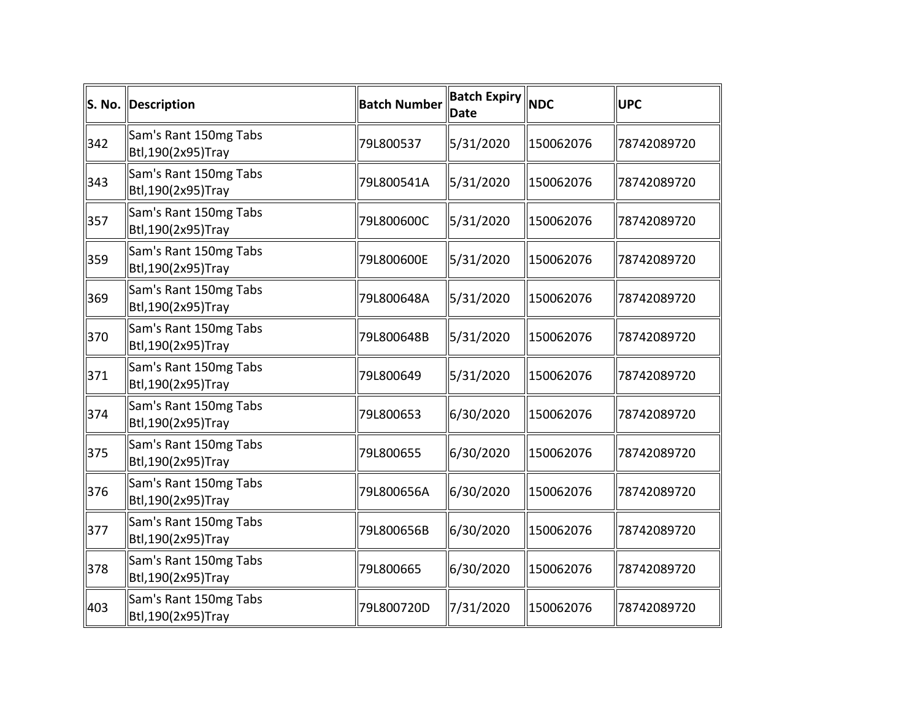| S. No. | Description                                  | <b>Batch Number</b> | <b>Batch Expiry NDC</b><br>Date |           | <b>UPC</b>  |
|--------|----------------------------------------------|---------------------|---------------------------------|-----------|-------------|
| 342    | Sam's Rant 150mg Tabs<br>Btl,190(2x95)Tray   | 79L800537           | 5/31/2020                       | 150062076 | 78742089720 |
| 343    | Sam's Rant 150mg Tabs<br>Btl, 190(2x95) Tray | 79L800541A          | 5/31/2020                       | 150062076 | 78742089720 |
| 357    | Sam's Rant 150mg Tabs<br>Btl, 190(2x95) Tray | 79L800600C          | 5/31/2020                       | 150062076 | 78742089720 |
| 359    | Sam's Rant 150mg Tabs<br>Btl, 190(2x95) Tray | 79L800600E          | 5/31/2020                       | 150062076 | 78742089720 |
| 369    | Sam's Rant 150mg Tabs<br>Btl, 190(2x95) Tray | 79L800648A          | 5/31/2020                       | 150062076 | 78742089720 |
| 370    | Sam's Rant 150mg Tabs<br>Btl, 190(2x95) Tray | 79L800648B          | 5/31/2020                       | 150062076 | 78742089720 |
| 371    | Sam's Rant 150mg Tabs<br>Btl, 190(2x95) Tray | 79L800649           | 5/31/2020                       | 150062076 | 78742089720 |
| 374    | Sam's Rant 150mg Tabs<br>Btl, 190(2x95) Tray | 79L800653           | 6/30/2020                       | 150062076 | 78742089720 |
| 375    | Sam's Rant 150mg Tabs<br>Btl, 190(2x95) Tray | 79L800655           | 6/30/2020                       | 150062076 | 78742089720 |
| 376    | Sam's Rant 150mg Tabs<br>Btl, 190(2x95) Tray | 79L800656A          | 6/30/2020                       | 150062076 | 78742089720 |
| 377    | Sam's Rant 150mg Tabs<br>Btl, 190(2x95) Tray | 79L800656B          | 6/30/2020                       | 150062076 | 78742089720 |
| 378    | Sam's Rant 150mg Tabs<br>Btl, 190(2x95) Tray | 79L800665           | 6/30/2020                       | 150062076 | 78742089720 |
| 403    | Sam's Rant 150mg Tabs<br>Btl, 190(2x95) Tray | 79L800720D          | 7/31/2020                       | 150062076 | 78742089720 |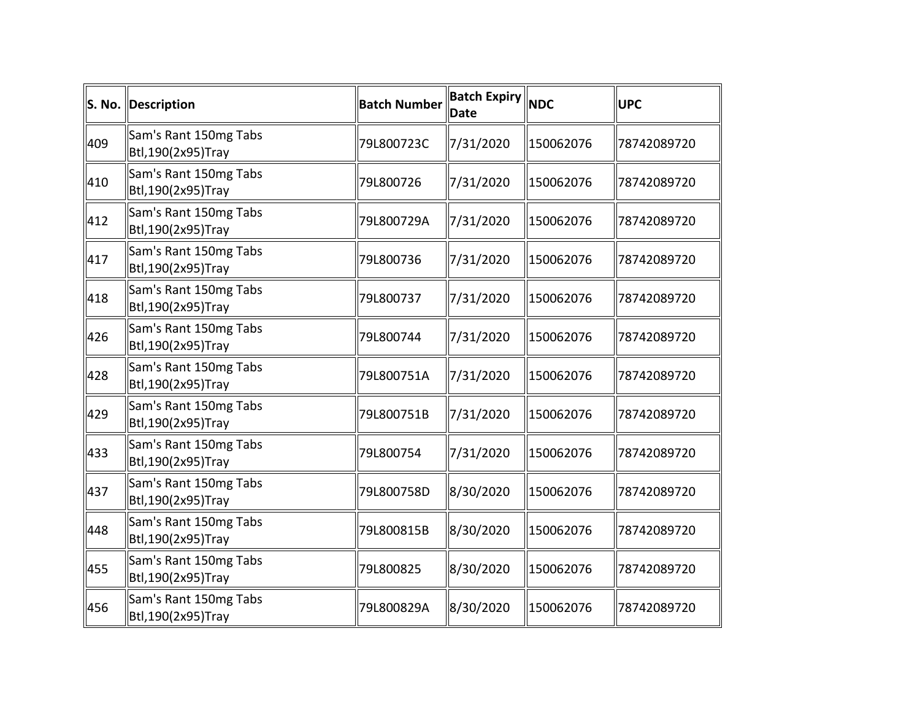|     | S. No. Description                           | <b>Batch Number</b> | <b>Batch Expiry NDC</b><br><b>Date</b> |           | UPC         |
|-----|----------------------------------------------|---------------------|----------------------------------------|-----------|-------------|
| 409 | Sam's Rant 150mg Tabs<br>Btl, 190(2x95) Tray | 79L800723C          | 7/31/2020                              | 150062076 | 78742089720 |
| 410 | Sam's Rant 150mg Tabs<br>Btl, 190(2x95) Tray | 79L800726           | 7/31/2020                              | 150062076 | 78742089720 |
| 412 | Sam's Rant 150mg Tabs<br>Btl, 190(2x95) Tray | 79L800729A          | 7/31/2020                              | 150062076 | 78742089720 |
| 417 | Sam's Rant 150mg Tabs<br>Btl, 190(2x95) Tray | 79L800736           | 7/31/2020                              | 150062076 | 78742089720 |
| 418 | Sam's Rant 150mg Tabs<br>Btl, 190(2x95) Tray | 79L800737           | 7/31/2020                              | 150062076 | 78742089720 |
| 426 | Sam's Rant 150mg Tabs<br>Btl, 190(2x95) Tray | 79L800744           | 7/31/2020                              | 150062076 | 78742089720 |
| 428 | Sam's Rant 150mg Tabs<br>Btl, 190(2x95) Tray | 79L800751A          | 7/31/2020                              | 150062076 | 78742089720 |
| 429 | Sam's Rant 150mg Tabs<br>Btl, 190(2x95) Tray | 79L800751B          | 7/31/2020                              | 150062076 | 78742089720 |
| 433 | Sam's Rant 150mg Tabs<br>Btl, 190(2x95) Tray | 79L800754           | 7/31/2020                              | 150062076 | 78742089720 |
| 437 | Sam's Rant 150mg Tabs<br>Btl, 190(2x95) Tray | 79L800758D          | 8/30/2020                              | 150062076 | 78742089720 |
| 448 | Sam's Rant 150mg Tabs<br>Btl, 190(2x95) Tray | 79L800815B          | 8/30/2020                              | 150062076 | 78742089720 |
| 455 | Sam's Rant 150mg Tabs<br>Btl, 190(2x95) Tray | 79L800825           | 8/30/2020                              | 150062076 | 78742089720 |
| 456 | Sam's Rant 150mg Tabs<br>Btl, 190(2x95) Tray | 79L800829A          | 8/30/2020                              | 150062076 | 78742089720 |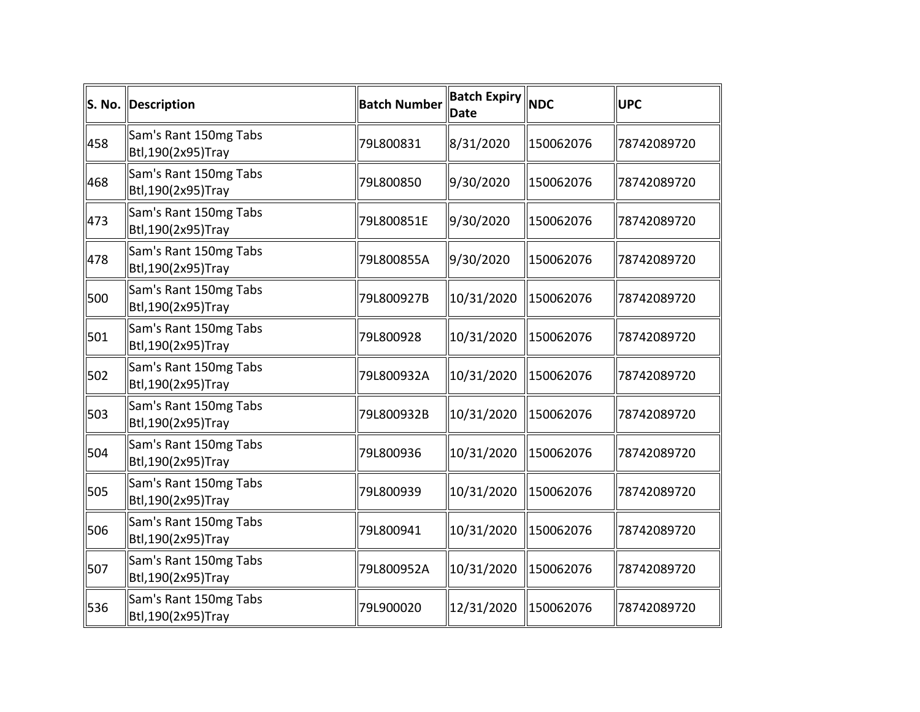|     | S. No. Description                           | <b>Batch Number</b> | <b>Batch Expiry NDC</b><br>Date |           | <b>UPC</b>  |
|-----|----------------------------------------------|---------------------|---------------------------------|-----------|-------------|
| 458 | Sam's Rant 150mg Tabs<br>Btl, 190(2x95) Tray | 79L800831           | 8/31/2020                       | 150062076 | 78742089720 |
| 468 | Sam's Rant 150mg Tabs<br>Btl,190(2x95)Tray   | 79L800850           | 9/30/2020                       | 150062076 | 78742089720 |
| 473 | Sam's Rant 150mg Tabs<br>Btl, 190(2x95) Tray | 79L800851E          | 9/30/2020                       | 150062076 | 78742089720 |
| 478 | Sam's Rant 150mg Tabs<br>Btl, 190(2x95) Tray | 79L800855A          | 9/30/2020                       | 150062076 | 78742089720 |
| 500 | Sam's Rant 150mg Tabs<br>Btl, 190(2x95) Tray | 79L800927B          | 10/31/2020                      | 150062076 | 78742089720 |
| 501 | Sam's Rant 150mg Tabs<br>Btl, 190(2x95) Tray | 79L800928           | 10/31/2020                      | 150062076 | 78742089720 |
| 502 | Sam's Rant 150mg Tabs<br>Btl,190(2x95)Tray   | 79L800932A          | 10/31/2020                      | 150062076 | 78742089720 |
| 503 | Sam's Rant 150mg Tabs<br>Btl, 190(2x95) Tray | 79L800932B          | 10/31/2020                      | 150062076 | 78742089720 |
| 504 | Sam's Rant 150mg Tabs<br>Btl, 190(2x95) Tray | 79L800936           | 10/31/2020                      | 150062076 | 78742089720 |
| 505 | Sam's Rant 150mg Tabs<br>Btl, 190(2x95) Tray | 79L800939           | 10/31/2020                      | 150062076 | 78742089720 |
| 506 | Sam's Rant 150mg Tabs<br>Btl, 190(2x95) Tray | 79L800941           | 10/31/2020                      | 150062076 | 78742089720 |
| 507 | Sam's Rant 150mg Tabs<br>Btl, 190(2x95) Tray | 79L800952A          | 10/31/2020                      | 150062076 | 78742089720 |
| 536 | Sam's Rant 150mg Tabs<br>Btl, 190(2x95) Tray | 79L900020           | 12/31/2020                      | 150062076 | 78742089720 |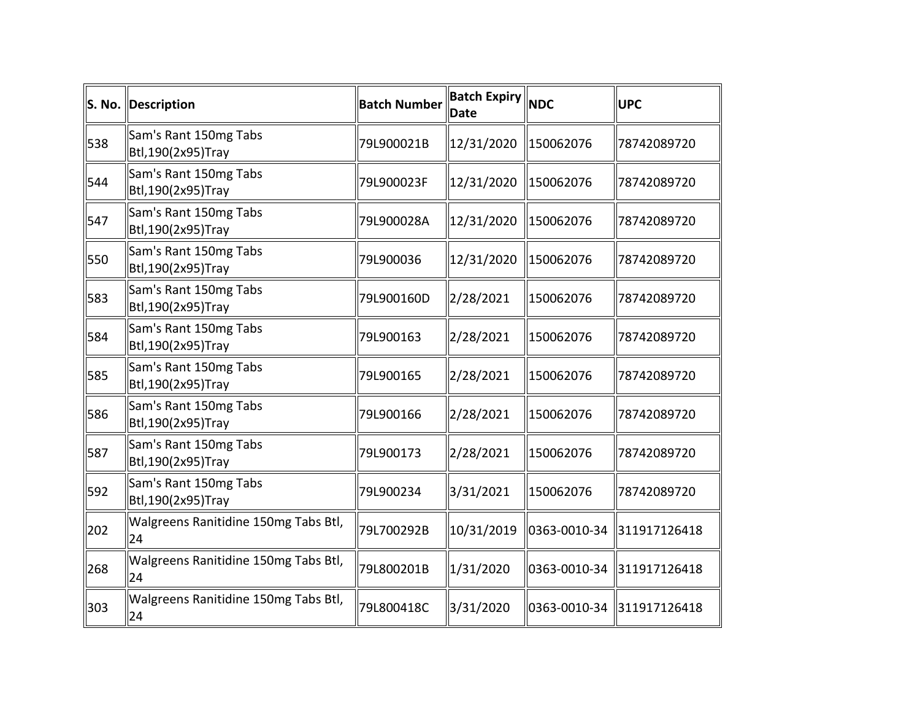|     | S. No. Description                           | <b>Batch Number</b> | <b>Batch Expiry NDC</b><br>Date |              | <b>UPC</b>   |
|-----|----------------------------------------------|---------------------|---------------------------------|--------------|--------------|
| 538 | Sam's Rant 150mg Tabs<br>Btl, 190(2x95) Tray | 79L900021B          | 12/31/2020                      | 150062076    | 78742089720  |
| 544 | Sam's Rant 150mg Tabs<br>Btl, 190(2x95) Tray | 79L900023F          | 12/31/2020                      | 150062076    | 78742089720  |
| 547 | Sam's Rant 150mg Tabs<br>Btl, 190(2x95) Tray | 79L900028A          | 12/31/2020                      | 150062076    | 78742089720  |
| 550 | Sam's Rant 150mg Tabs<br>Btl, 190(2x95) Tray | 79L900036           | 12/31/2020                      | 150062076    | 78742089720  |
| 583 | Sam's Rant 150mg Tabs<br>Btl, 190(2x95) Tray | 79L900160D          | 2/28/2021                       | 150062076    | 78742089720  |
| 584 | Sam's Rant 150mg Tabs<br>Btl,190(2x95)Tray   | 79L900163           | 2/28/2021                       | 150062076    | 78742089720  |
| 585 | Sam's Rant 150mg Tabs<br>Btl, 190(2x95) Tray | 79L900165           | 2/28/2021                       | 150062076    | 78742089720  |
| 586 | Sam's Rant 150mg Tabs<br>Btl, 190(2x95) Tray | 79L900166           | 2/28/2021                       | 150062076    | 78742089720  |
| 587 | Sam's Rant 150mg Tabs<br>Btl, 190(2x95) Tray | 79L900173           | 2/28/2021                       | 150062076    | 78742089720  |
| 592 | Sam's Rant 150mg Tabs<br>Btl, 190(2x95) Tray | 79L900234           | 3/31/2021                       | 150062076    | 78742089720  |
| 202 | Walgreens Ranitidine 150mg Tabs Btl,<br>24   | 79L700292B          | 10/31/2019                      | 0363-0010-34 | 311917126418 |
| 268 | Walgreens Ranitidine 150mg Tabs Btl,<br>24   | 79L800201B          | 1/31/2020                       | 0363-0010-34 | 311917126418 |
| 303 | Walgreens Ranitidine 150mg Tabs Btl,<br>24   | 79L800418C          | 3/31/2020                       | 0363-0010-34 | 311917126418 |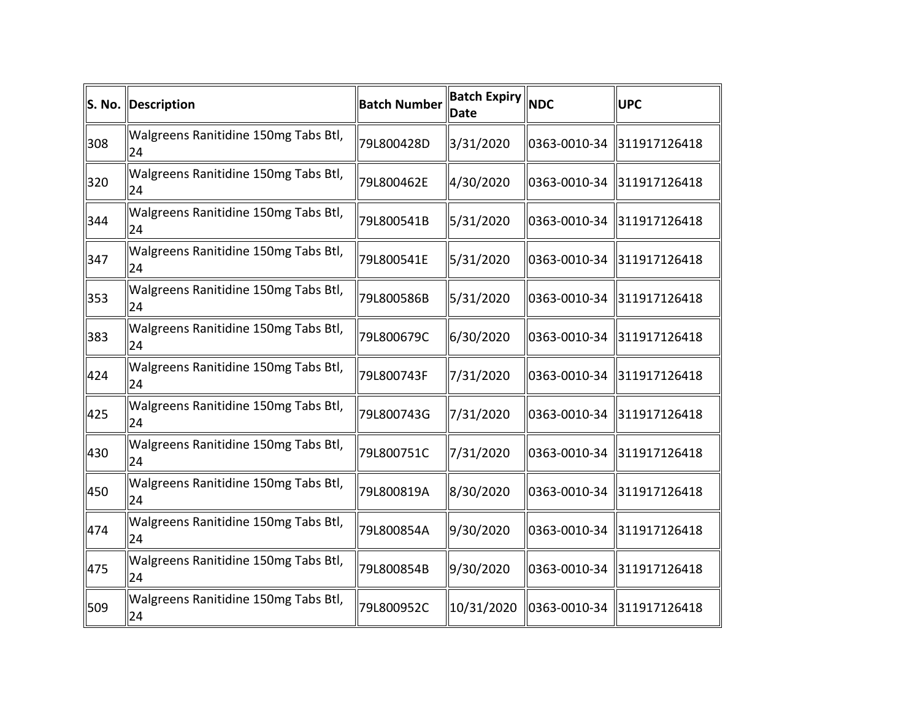| S. No. | Description                                | <b>Batch Number</b> | <b>Batch Expiry NDC</b><br><b>Date</b> |              | <b>UPC</b>   |
|--------|--------------------------------------------|---------------------|----------------------------------------|--------------|--------------|
| 308    | Walgreens Ranitidine 150mg Tabs Btl,<br>24 | 79L800428D          | 3/31/2020                              | 0363-0010-34 | 311917126418 |
| 320    | Walgreens Ranitidine 150mg Tabs Btl,<br>24 | 79L800462E          | 4/30/2020                              | 0363-0010-34 | 311917126418 |
| 344    | Walgreens Ranitidine 150mg Tabs Btl,<br>24 | 79L800541B          | 5/31/2020                              | 0363-0010-34 | 311917126418 |
| 347    | Walgreens Ranitidine 150mg Tabs Btl,<br>24 | 79L800541E          | 5/31/2020                              | 0363-0010-34 | 311917126418 |
| 353    | Walgreens Ranitidine 150mg Tabs Btl,<br>24 | 79L800586B          | 5/31/2020                              | 0363-0010-34 | 311917126418 |
| 383    | Walgreens Ranitidine 150mg Tabs Btl,<br>24 | 79L800679C          | 6/30/2020                              | 0363-0010-34 | 311917126418 |
| 424    | Walgreens Ranitidine 150mg Tabs Btl,<br>24 | 79L800743F          | 7/31/2020                              | 0363-0010-34 | 311917126418 |
| 425    | Walgreens Ranitidine 150mg Tabs Btl,<br>24 | 79L800743G          | 7/31/2020                              | 0363-0010-34 | 311917126418 |
| 430    | Walgreens Ranitidine 150mg Tabs Btl,<br>24 | 79L800751C          | 7/31/2020                              | 0363-0010-34 | 311917126418 |
| 450    | Walgreens Ranitidine 150mg Tabs Btl,<br>24 | 79L800819A          | 8/30/2020                              | 0363-0010-34 | 311917126418 |
| 474    | Walgreens Ranitidine 150mg Tabs Btl,<br>24 | 79L800854A          | 9/30/2020                              | 0363-0010-34 | 311917126418 |
| 475    | Walgreens Ranitidine 150mg Tabs Btl,<br>24 | 79L800854B          | 9/30/2020                              | 0363-0010-34 | 311917126418 |
| 509    | Walgreens Ranitidine 150mg Tabs Btl,<br>24 | 79L800952C          | 10/31/2020                             | 0363-0010-34 | 311917126418 |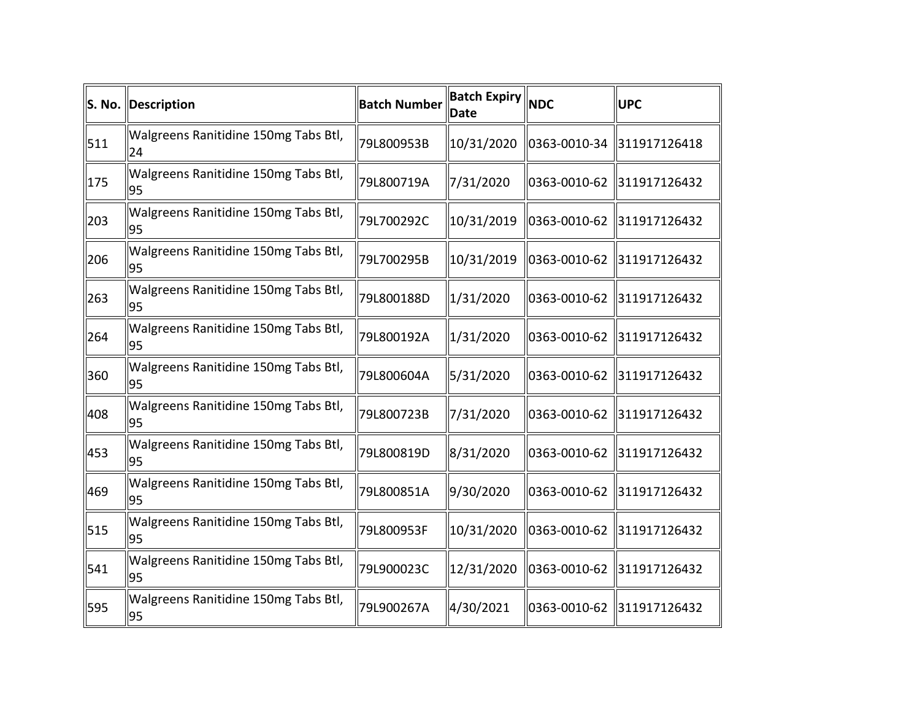| S. No. | Description                                | <b>Batch Number</b> | <b>Batch Expiry NDC</b><br><b>Date</b> |              | <b>UPC</b>   |
|--------|--------------------------------------------|---------------------|----------------------------------------|--------------|--------------|
| 511    | Walgreens Ranitidine 150mg Tabs Btl,<br>24 | 79L800953B          | 10/31/2020                             | 0363-0010-34 | 311917126418 |
| 175    | Walgreens Ranitidine 150mg Tabs Btl,<br>95 | 79L800719A          | 7/31/2020                              | 0363-0010-62 | 311917126432 |
| 203    | Walgreens Ranitidine 150mg Tabs Btl,<br>95 | 79L700292C          | 10/31/2019                             | 0363-0010-62 | 311917126432 |
| 206    | Walgreens Ranitidine 150mg Tabs Btl,<br>95 | 79L700295B          | 10/31/2019                             | 0363-0010-62 | 311917126432 |
| 263    | Walgreens Ranitidine 150mg Tabs Btl,<br>95 | 79L800188D          | 1/31/2020                              | 0363-0010-62 | 311917126432 |
| 264    | Walgreens Ranitidine 150mg Tabs Btl,<br>95 | 79L800192A          | 1/31/2020                              | 0363-0010-62 | 311917126432 |
| 360    | Walgreens Ranitidine 150mg Tabs Btl,<br>95 | 79L800604A          | 5/31/2020                              | 0363-0010-62 | 311917126432 |
| 408    | Walgreens Ranitidine 150mg Tabs Btl,<br>95 | 79L800723B          | 7/31/2020                              | 0363-0010-62 | 311917126432 |
| 453    | Walgreens Ranitidine 150mg Tabs Btl,<br>95 | 79L800819D          | 8/31/2020                              | 0363-0010-62 | 311917126432 |
| 469    | Walgreens Ranitidine 150mg Tabs Btl,<br>95 | 79L800851A          | 9/30/2020                              | 0363-0010-62 | 311917126432 |
| 515    | Walgreens Ranitidine 150mg Tabs Btl,<br>95 | 79L800953F          | 10/31/2020                             | 0363-0010-62 | 311917126432 |
| 541    | Walgreens Ranitidine 150mg Tabs Btl,<br>95 | 79L900023C          | 12/31/2020                             | 0363-0010-62 | 311917126432 |
| 595    | Walgreens Ranitidine 150mg Tabs Btl,<br>95 | 79L900267A          | 4/30/2021                              | 0363-0010-62 | 311917126432 |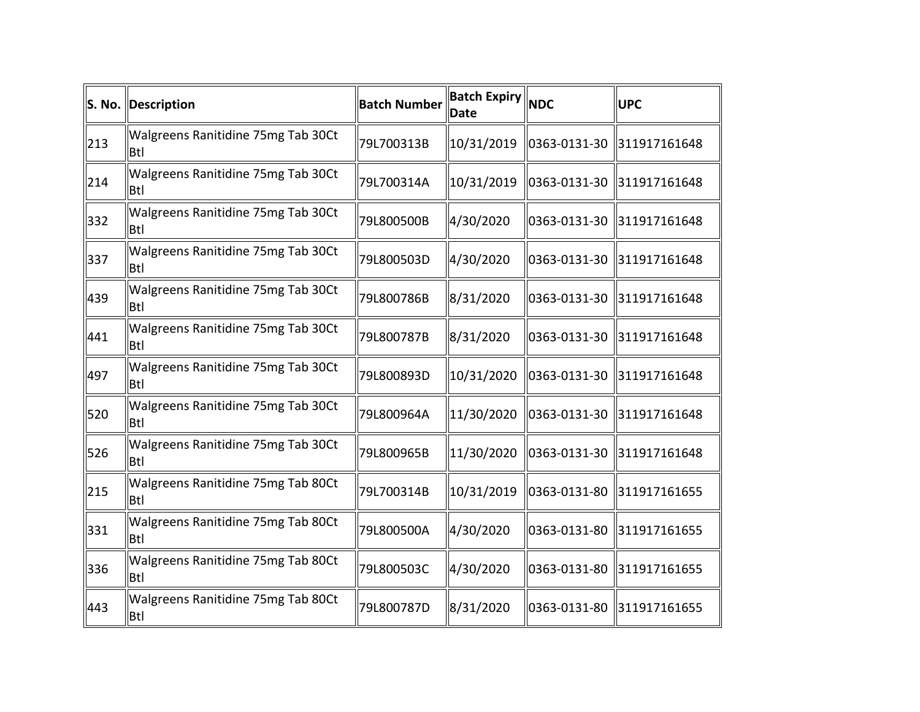|     | S. No. Description                               | <b>Batch Number</b> | <b>Batch Expiry NDC</b><br>Date |               | <b>UPC</b>   |
|-----|--------------------------------------------------|---------------------|---------------------------------|---------------|--------------|
| 213 | Walgreens Ranitidine 75mg Tab 30Ct<br><b>Btl</b> | 79L700313B          | 10/31/2019                      | 0363-0131-30  | 311917161648 |
| 214 | Walgreens Ranitidine 75mg Tab 30Ct<br><b>Btl</b> | 79L700314A          | 10/31/2019                      | 0363-0131-30  | 311917161648 |
| 332 | Walgreens Ranitidine 75mg Tab 30Ct<br>Btl        | 79L800500B          | 4/30/2020                       | 0363-0131-30  | 311917161648 |
| 337 | Walgreens Ranitidine 75mg Tab 30Ct<br><b>Btl</b> | 79L800503D          | 4/30/2020                       | 10363-0131-30 | 311917161648 |
| 439 | Walgreens Ranitidine 75mg Tab 30Ct<br><b>Btl</b> | 79L800786B          | 8/31/2020                       | 0363-0131-30  | 311917161648 |
| 441 | Walgreens Ranitidine 75mg Tab 30Ct<br><b>Btl</b> | 79L800787B          | 8/31/2020                       | 0363-0131-30  | 311917161648 |
| 497 | Walgreens Ranitidine 75mg Tab 30Ct<br>Btl        | 79L800893D          | 10/31/2020                      | 0363-0131-30  | 311917161648 |
| 520 | Walgreens Ranitidine 75mg Tab 30Ct<br><b>Btl</b> | 79L800964A          | 11/30/2020                      | 0363-0131-30  | 311917161648 |
| 526 | Walgreens Ranitidine 75mg Tab 30Ct<br>Btl        | 79L800965B          | 11/30/2020                      | 0363-0131-30  | 311917161648 |
| 215 | Walgreens Ranitidine 75mg Tab 80Ct<br><b>Btl</b> | 79L700314B          | 10/31/2019                      | 0363-0131-80  | 311917161655 |
| 331 | Walgreens Ranitidine 75mg Tab 80Ct<br>Btl        | 79L800500A          | 4/30/2020                       | 0363-0131-80  | 311917161655 |
| 336 | Walgreens Ranitidine 75mg Tab 80Ct<br>Btl        | 79L800503C          | 4/30/2020                       | 0363-0131-80  | 311917161655 |
| 443 | Walgreens Ranitidine 75mg Tab 80Ct<br>Btl        | 79L800787D          | 8/31/2020                       | 0363-0131-80  | 311917161655 |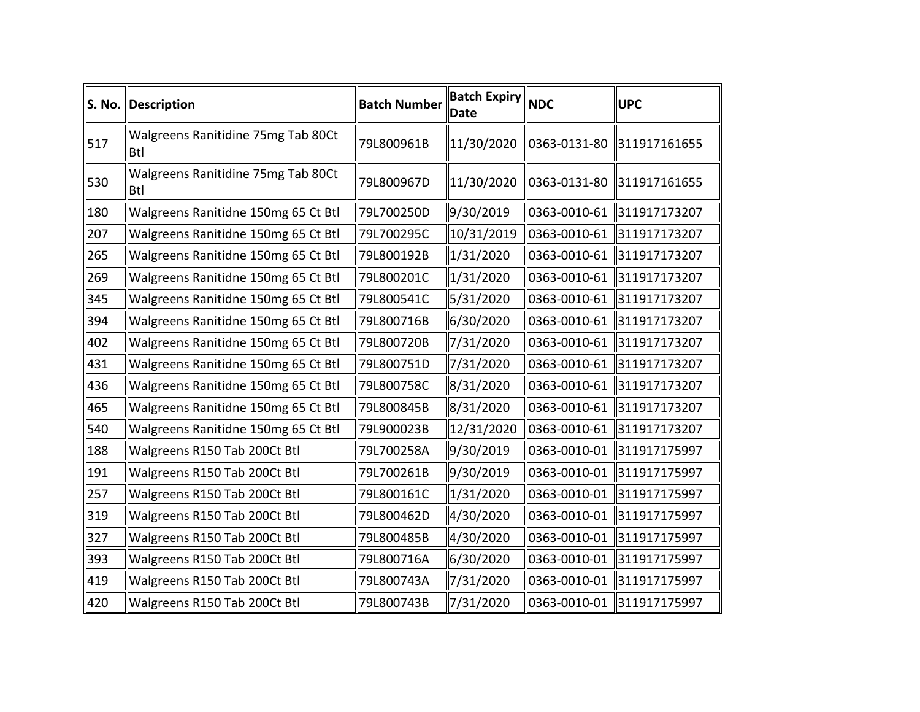|     | S. No. Description                        | <b>Batch Number</b> | <b>Batch Expiry NDC</b><br>Date |              | <b>UPC</b>   |
|-----|-------------------------------------------|---------------------|---------------------------------|--------------|--------------|
| 517 | Walgreens Ranitidine 75mg Tab 80Ct<br>Btl | 79L800961B          | 11/30/2020                      | 0363-0131-80 | 311917161655 |
| 530 | Walgreens Ranitidine 75mg Tab 80Ct<br>Btl | 79L800967D          | 11/30/2020                      | 0363-0131-80 | 311917161655 |
| 180 | Walgreens Ranitidne 150mg 65 Ct Btl       | 79L700250D          | 9/30/2019                       | 0363-0010-61 | 311917173207 |
| 207 | Walgreens Ranitidne 150mg 65 Ct Btl       | 79L700295C          | 10/31/2019                      | 0363-0010-61 | 311917173207 |
| 265 | Walgreens Ranitidne 150mg 65 Ct Btl       | 79L800192B          | 1/31/2020                       | 0363-0010-61 | 311917173207 |
| 269 | Walgreens Ranitidne 150mg 65 Ct Btl       | 79L800201C          | 1/31/2020                       | 0363-0010-61 | 311917173207 |
| 345 | Walgreens Ranitidne 150mg 65 Ct Btl       | 79L800541C          | 5/31/2020                       | 0363-0010-61 | 311917173207 |
| 394 | Walgreens Ranitidne 150mg 65 Ct Btl       | 79L800716B          | 6/30/2020                       | 0363-0010-61 | 311917173207 |
| 402 | Walgreens Ranitidne 150mg 65 Ct Btl       | 79L800720B          | 7/31/2020                       | 0363-0010-61 | 311917173207 |
| 431 | Walgreens Ranitidne 150mg 65 Ct Btl       | 79L800751D          | 7/31/2020                       | 0363-0010-61 | 311917173207 |
| 436 | Walgreens Ranitidne 150mg 65 Ct Btl       | 79L800758C          | 8/31/2020                       | 0363-0010-61 | 311917173207 |
| 465 | Walgreens Ranitidne 150mg 65 Ct Btl       | 79L800845B          | 8/31/2020                       | 0363-0010-61 | 311917173207 |
| 540 | Walgreens Ranitidne 150mg 65 Ct Btl       | 79L900023B          | 12/31/2020                      | 0363-0010-61 | 311917173207 |
| 188 | Walgreens R150 Tab 200Ct Btl              | 79L700258A          | 9/30/2019                       | 0363-0010-01 | 311917175997 |
| 191 | Walgreens R150 Tab 200Ct Btl              | 79L700261B          | 9/30/2019                       | 0363-0010-01 | 311917175997 |
| 257 | Walgreens R150 Tab 200Ct Btl              | 79L800161C          | $\ 1/31/2020$                   | 0363-0010-01 | 311917175997 |
| 319 | Walgreens R150 Tab 200Ct Btl              | 79L800462D          | 4/30/2020                       | 0363-0010-01 | 311917175997 |
| 327 | Walgreens R150 Tab 200Ct Btl              | 79L800485B          | 4/30/2020                       | 0363-0010-01 | 311917175997 |
| 393 | Walgreens R150 Tab 200Ct Btl              | 79L800716A          | 6/30/2020                       | 0363-0010-01 | 311917175997 |
| 419 | Walgreens R150 Tab 200Ct Btl              | 79L800743A          | 7/31/2020                       | 0363-0010-01 | 311917175997 |
| 420 | Walgreens R150 Tab 200Ct Btl              | 79L800743B          | 7/31/2020                       | 0363-0010-01 | 311917175997 |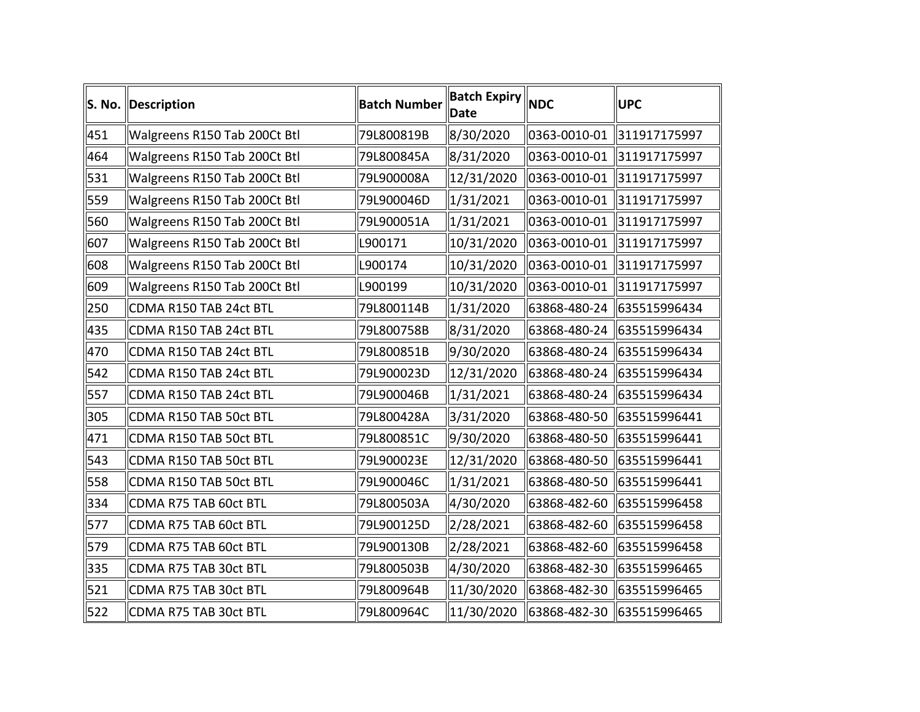| S. No. | Description                  | <b>Batch Number</b> | <b>Batch Expiry NDC</b><br><b>Date</b> |              | <b>UPC</b>                 |
|--------|------------------------------|---------------------|----------------------------------------|--------------|----------------------------|
| 451    | Walgreens R150 Tab 200Ct Btl | 79L800819B          | 8/30/2020                              | 0363-0010-01 | 311917175997               |
| 464    | Walgreens R150 Tab 200Ct Btl | 79L800845A          | 8/31/2020                              | 0363-0010-01 | 311917175997               |
| 531    | Walgreens R150 Tab 200Ct Btl | 79L900008A          | 12/31/2020                             |              | 0363-0010-01 311917175997  |
| 559    | Walgreens R150 Tab 200Ct Btl | 79L900046D          | 1/31/2021                              | 0363-0010-01 | 311917175997               |
| 560    | Walgreens R150 Tab 200Ct Btl | 79L900051A          | 1/31/2021                              | 0363-0010-01 | 311917175997               |
| 607    | Walgreens R150 Tab 200Ct Btl | L900171             | 10/31/2020                             | 0363-0010-01 | 311917175997               |
| 608    | Walgreens R150 Tab 200Ct Btl | L900174             | 10/31/2020                             | 0363-0010-01 | 311917175997               |
| 609    | Walgreens R150 Tab 200Ct Btl | L900199             | 10/31/2020                             | 0363-0010-01 | 311917175997               |
| 250    | CDMA R150 TAB 24ct BTL       | 79L800114B          | 1/31/2020                              |              |                            |
| 435    | CDMA R150 TAB 24ct BTL       | 79L800758B          | 8/31/2020                              | 63868-480-24 | 635515996434               |
| 470    | CDMA R150 TAB 24ct BTL       | 79L800851B          | 9/30/2020                              | 63868-480-24 | 635515996434               |
| 542    | CDMA R150 TAB 24ct BTL       | 79L900023D          | 12/31/2020                             | 63868-480-24 | 635515996434               |
| 557    | CDMA R150 TAB 24ct BTL       | 79L900046B          | $\ 1/31/2021$                          |              | 63868-480-24 635515996434  |
| 305    | CDMA R150 TAB 50ct BTL       | 79L800428A          | 3/31/2020                              |              | 63868-480-50 635515996441  |
| 471    | CDMA R150 TAB 50ct BTL       | 79L800851C          | 9/30/2020                              |              | 63868-480-50 635515996441  |
| 543    | CDMA R150 TAB 50ct BTL       | 79L900023E          | 12/31/2020                             | 63868-480-50 | 635515996441               |
| 558    | CDMA R150 TAB 50ct BTL       | 79L900046C          | 1/31/2021                              |              | 63868-480-50 635515996441  |
| 334    | CDMA R75 TAB 60ct BTL        | 79L800503A          | 4/30/2020                              |              | 63868-482-60 635515996458  |
| 577    | CDMA R75 TAB 60ct BTL        | 79L900125D          | 2/28/2021                              |              | 63868-482-60 635515996458  |
| 579    | CDMA R75 TAB 60ct BTL        | 79L900130B          | 2/28/2021                              |              | 63868-482-60 635515996458  |
| 335    | CDMA R75 TAB 30ct BTL        | 79L800503B          | 4/30/2020                              |              | 63868-482-30 635515996465  |
| 521    | CDMA R75 TAB 30ct BTL        | 79L800964B          | 11/30/2020                             |              | 63868-482-30 635515996465  |
| 522    | CDMA R75 TAB 30ct BTL        | 79L800964C          | 11/30/2020                             |              | 63868-482-30  635515996465 |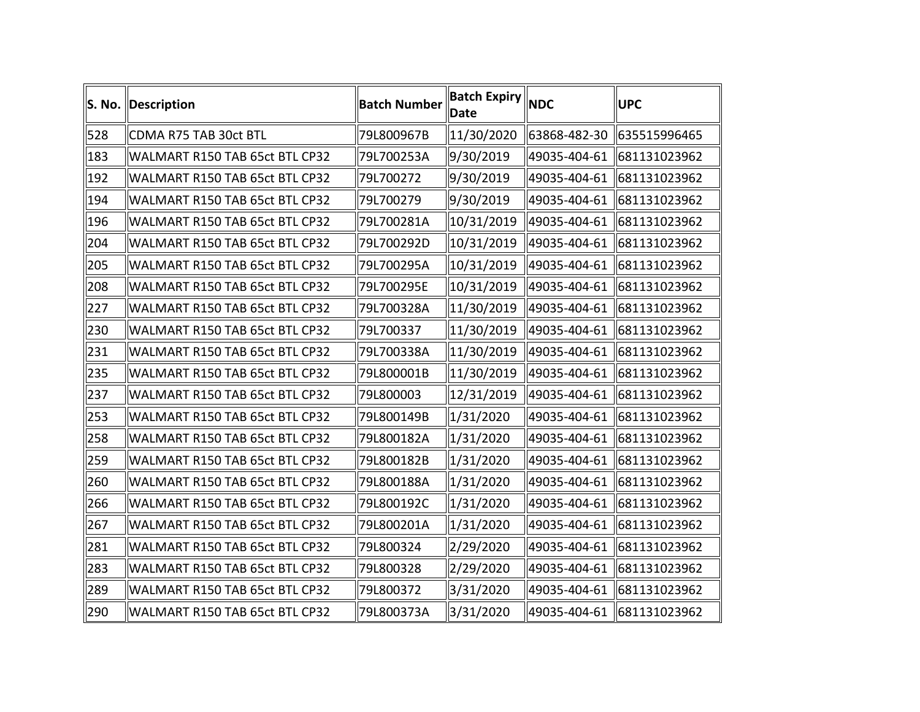|     | S. No. Description             | <b>Batch Number</b> | <b>Batch Expiry</b><br><b>Date</b> | <b>NDC</b>   | <b>UPC</b>                  |
|-----|--------------------------------|---------------------|------------------------------------|--------------|-----------------------------|
| 528 | CDMA R75 TAB 30ct BTL          | 79L800967B          | 11/30/2020                         |              | 63868-482-30   635515996465 |
| 183 | WALMART R150 TAB 65ct BTL CP32 | 79L700253A          | 9/30/2019                          | 49035-404-61 | 681131023962                |
| 192 | WALMART R150 TAB 65ct BTL CP32 | 79L700272           | 9/30/2019                          | 49035-404-61 | 681131023962                |
| 194 | WALMART R150 TAB 65ct BTL CP32 | 79L700279           | 9/30/2019                          | 49035-404-61 | 681131023962                |
| 196 | WALMART R150 TAB 65ct BTL CP32 | 79L700281A          | 10/31/2019                         | 49035-404-61 | 681131023962                |
| 204 | WALMART R150 TAB 65ct BTL CP32 | 79L700292D          | 10/31/2019                         | 49035-404-61 | 681131023962                |
| 205 | WALMART R150 TAB 65ct BTL CP32 | 79L700295A          | 10/31/2019                         | 49035-404-61 | 681131023962                |
| 208 | WALMART R150 TAB 65ct BTL CP32 | 79L700295E          | 10/31/2019                         | 49035-404-61 | 681131023962                |
| 227 | WALMART R150 TAB 65ct BTL CP32 | 79L700328A          | 11/30/2019                         | 49035-404-61 | 681131023962                |
| 230 | WALMART R150 TAB 65ct BTL CP32 | 79L700337           | 11/30/2019                         | 49035-404-61 | 681131023962                |
| 231 | WALMART R150 TAB 65ct BTL CP32 | 79L700338A          | 11/30/2019                         |              | 49035-404-61  681131023962  |
| 235 | WALMART R150 TAB 65ct BTL CP32 | 79L800001B          | 11/30/2019                         | 49035-404-61 | 681131023962                |
| 237 | WALMART R150 TAB 65ct BTL CP32 | 79L800003           | 12/31/2019                         |              | 49035-404-61   681131023962 |
| 253 | WALMART R150 TAB 65ct BTL CP32 | 79L800149B          | 1/31/2020                          | 49035-404-61 | 681131023962                |
| 258 | WALMART R150 TAB 65ct BTL CP32 | 79L800182A          | 1/31/2020                          |              | 49035-404-61 681131023962   |
| 259 | WALMART R150 TAB 65ct BTL CP32 | 79L800182B          | 1/31/2020                          | 49035-404-61 | 681131023962                |
| 260 | WALMART R150 TAB 65ct BTL CP32 | 79L800188A          | 1/31/2020                          |              | 49035-404-61 681131023962   |
| 266 | WALMART R150 TAB 65ct BTL CP32 | 79L800192C          | 1/31/2020                          | 49035-404-61 | 681131023962                |
| 267 | WALMART R150 TAB 65ct BTL CP32 | 79L800201A          | 1/31/2020                          | 49035-404-61 | 681131023962                |
| 281 | WALMART R150 TAB 65ct BTL CP32 | 79L800324           | 2/29/2020                          | 49035-404-61 | 681131023962                |
| 283 | WALMART R150 TAB 65ct BTL CP32 | 79L800328           | 2/29/2020                          | 49035-404-61 | 681131023962                |
| 289 | WALMART R150 TAB 65ct BTL CP32 | 79L800372           | 3/31/2020                          | 49035-404-61 | 681131023962                |
| 290 | WALMART R150 TAB 65ct BTL CP32 | 79L800373A          | 3/31/2020                          |              | 49035-404-61 681131023962   |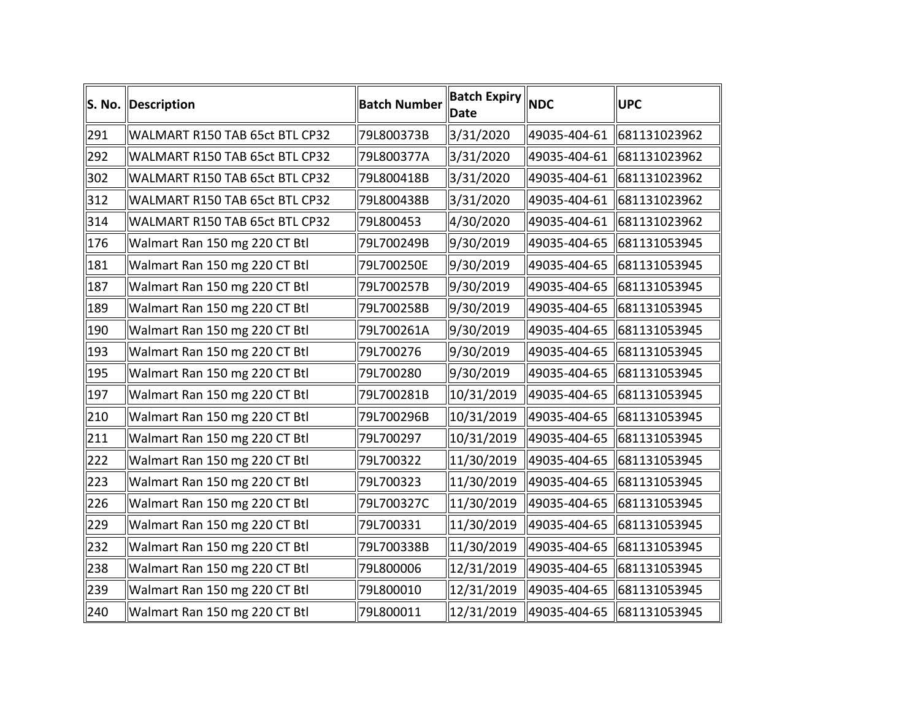|     | S. No. Description             | <b>Batch Number</b> | <b>Batch Expiry</b> NDC<br><b>Date</b> |              | <b>UPC</b>                  |
|-----|--------------------------------|---------------------|----------------------------------------|--------------|-----------------------------|
| 291 | WALMART R150 TAB 65ct BTL CP32 | 79L800373B          | 3/31/2020                              |              | 49035-404-61 681131023962   |
| 292 | WALMART R150 TAB 65ct BTL CP32 | 79L800377A          | 3/31/2020                              |              | 49035-404-61 681131023962   |
| 302 | WALMART R150 TAB 65ct BTL CP32 | 79L800418B          | 3/31/2020                              |              | 49035-404-61 681131023962   |
| 312 | WALMART R150 TAB 65ct BTL CP32 | 79L800438B          | 3/31/2020                              | 49035-404-61 | 681131023962                |
| 314 | WALMART R150 TAB 65ct BTL CP32 | 79L800453           | 4/30/2020                              |              | 49035-404-61 681131023962   |
| 176 | Walmart Ran 150 mg 220 CT Btl  | 79L700249B          | 9/30/2019                              |              | 49035-404-65 681131053945   |
| 181 | Walmart Ran 150 mg 220 CT Btl  | 79L700250E          | 9/30/2019                              |              | 49035-404-65 681131053945   |
| 187 | Walmart Ran 150 mg 220 CT Btl  | 79L700257B          | 9/30/2019                              |              | 49035-404-65 681131053945   |
| 189 | Walmart Ran 150 mg 220 CT Btl  | 79L700258B          | 9/30/2019                              |              | 49035-404-65 681131053945   |
| 190 | Walmart Ran 150 mg 220 CT Btl  | 79L700261A          | 9/30/2019                              |              | 49035-404-65 681131053945   |
| 193 | Walmart Ran 150 mg 220 CT Btl  | 79L700276           | 9/30/2019                              |              | 49035-404-65 681131053945   |
| 195 | Walmart Ran 150 mg 220 CT Btl  | 79L700280           | 9/30/2019                              |              | 49035-404-65 681131053945   |
| 197 | Walmart Ran 150 mg 220 CT Btl  | 79L700281B          | $\parallel$ 10/31/2019                 |              | 49035-404-65 681131053945   |
| 210 | Walmart Ran 150 mg 220 CT Btl  | 79L700296B          | $\ 10/31/2019$                         |              | 49035-404-65 681131053945   |
| 211 | Walmart Ran 150 mg 220 CT Btl  | 79L700297           | 10/31/2019                             |              | 49035-404-65 681131053945   |
| 222 | Walmart Ran 150 mg 220 CT Btl  | 79L700322           | $\parallel$ 11/30/2019                 |              | 49035-404-65 681131053945   |
| 223 | Walmart Ran 150 mg 220 CT Btl  | 79L700323           | 11/30/2019                             |              | 49035-404-65 681131053945   |
| 226 | Walmart Ran 150 mg 220 CT Btl  | 79L700327C          | 11/30/2019                             |              | 49035-404-65 681131053945   |
| 229 | Walmart Ran 150 mg 220 CT Btl  | 79L700331           | 11/30/2019                             |              | 49035-404-65 681131053945   |
| 232 | Walmart Ran 150 mg 220 CT Btl  | 79L700338B          | $\parallel$ 11/30/2019                 |              | 49035-404-65 681131053945   |
| 238 | Walmart Ran 150 mg 220 CT Btl  | 79L800006           | 12/31/2019                             |              | 49035-404-65 681131053945   |
| 239 | Walmart Ran 150 mg 220 CT Btl  | 79L800010           | $\ $ 12/31/2019                        |              | 49035-404-65 681131053945   |
| 240 | Walmart Ran 150 mg 220 CT Btl  | 79L800011           | 12/31/2019                             |              | 49035-404-65   681131053945 |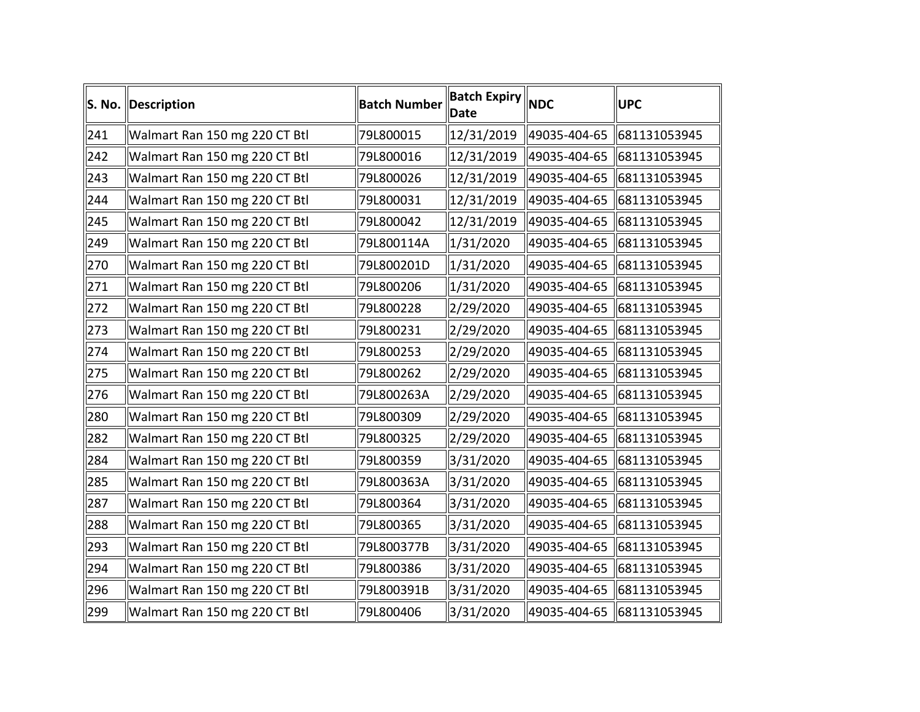|     | S. No. Description            | <b>Batch Number</b> | <b>Batch Expiry</b> NDC<br><b>Date</b> | <b>UPC</b>                  |
|-----|-------------------------------|---------------------|----------------------------------------|-----------------------------|
| 241 | Walmart Ran 150 mg 220 CT Btl | 79L800015           | 12/31/2019                             | 49035-404-65   681131053945 |
| 242 | Walmart Ran 150 mg 220 CT Btl | 79L800016           | 12/31/2019                             | 49035-404-65 681131053945   |
| 243 | Walmart Ran 150 mg 220 CT Btl | 79L800026           | 12/31/2019                             | 49035-404-65 681131053945   |
| 244 | Walmart Ran 150 mg 220 CT Btl | 79L800031           | 12/31/2019                             | 49035-404-65 681131053945   |
| 245 | Walmart Ran 150 mg 220 CT Btl | 79L800042           | 12/31/2019                             | 49035-404-65 681131053945   |
| 249 | Walmart Ran 150 mg 220 CT Btl | 79L800114A          | $\ 1/31/2020$                          | 49035-404-65 681131053945   |
| 270 | Walmart Ran 150 mg 220 CT Btl | 79L800201D          | 1/31/2020                              | 49035-404-65 681131053945   |
| 271 | Walmart Ran 150 mg 220 CT Btl | 79L800206           | $\ 1/31/2020$                          | 49035-404-65 681131053945   |
| 272 | Walmart Ran 150 mg 220 CT Btl | 79L800228           | 2/29/2020                              | 49035-404-65 681131053945   |
| 273 | Walmart Ran 150 mg 220 CT Btl | 79L800231           | 2/29/2020                              | 49035-404-65 681131053945   |
| 274 | Walmart Ran 150 mg 220 CT Btl | 79L800253           | 2/29/2020                              | 49035-404-65 681131053945   |
| 275 | Walmart Ran 150 mg 220 CT Btl | 79L800262           | 2/29/2020                              | 49035-404-65 681131053945   |
| 276 | Walmart Ran 150 mg 220 CT Btl | 79L800263A          | 2/29/2020                              | 49035-404-65 681131053945   |
| 280 | Walmart Ran 150 mg 220 CT Btl | 79L800309           | 2/29/2020                              | 49035-404-65 681131053945   |
| 282 | Walmart Ran 150 mg 220 CT Btl | 79L800325           | 2/29/2020                              | 49035-404-65 681131053945   |
| 284 | Walmart Ran 150 mg 220 CT Btl | 79L800359           | 3/31/2020                              | 49035-404-65 681131053945   |
| 285 | Walmart Ran 150 mg 220 CT Btl | 79L800363A          | 3/31/2020                              | 49035-404-65 681131053945   |
| 287 | Walmart Ran 150 mg 220 CT Btl | 79L800364           | 3/31/2020                              | 49035-404-65 681131053945   |
| 288 | Walmart Ran 150 mg 220 CT Btl | 79L800365           | 3/31/2020                              | 49035-404-65 681131053945   |
| 293 | Walmart Ran 150 mg 220 CT Btl | 79L800377B          | 3/31/2020                              | 49035-404-65 681131053945   |
| 294 | Walmart Ran 150 mg 220 CT Btl | 79L800386           | 3/31/2020                              | 49035-404-65 681131053945   |
| 296 | Walmart Ran 150 mg 220 CT Btl | 79L800391B          | 3/31/2020                              | 49035-404-65 681131053945   |
| 299 | Walmart Ran 150 mg 220 CT Btl | 79L800406           | 3/31/2020                              | 49035-404-65 681131053945   |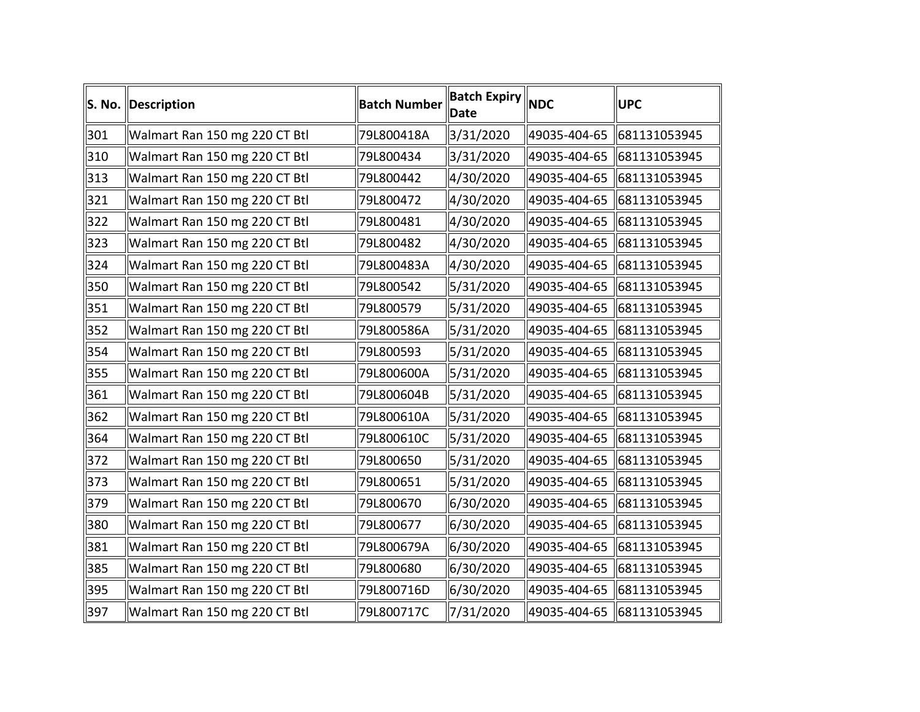|     | S. No. Description            | <b>Batch Number</b> | <b>Batch Expiry NDC</b><br><b>Date</b> | <b>UPC</b>                |
|-----|-------------------------------|---------------------|----------------------------------------|---------------------------|
| 301 | Walmart Ran 150 mg 220 CT Btl | 79L800418A          | 3/31/2020                              | 49035-404-65 681131053945 |
| 310 | Walmart Ran 150 mg 220 CT Btl | 79L800434           | 3/31/2020                              | 49035-404-65 681131053945 |
| 313 | Walmart Ran 150 mg 220 CT Btl | 79L800442           | 4/30/2020                              | 49035-404-65 681131053945 |
| 321 | Walmart Ran 150 mg 220 CT Btl | 79L800472           | 4/30/2020                              | 49035-404-65 681131053945 |
| 322 | Walmart Ran 150 mg 220 CT Btl | 79L800481           | 4/30/2020                              | 49035-404-65 681131053945 |
| 323 | Walmart Ran 150 mg 220 CT Btl | 79L800482           | 4/30/2020                              | 49035-404-65 681131053945 |
| 324 | Walmart Ran 150 mg 220 CT Btl | 79L800483A          | 4/30/2020                              | 49035-404-65 681131053945 |
| 350 | Walmart Ran 150 mg 220 CT Btl | 79L800542           | 5/31/2020                              | 49035-404-65 681131053945 |
| 351 | Walmart Ran 150 mg 220 CT Btl | 79L800579           | 5/31/2020                              | 49035-404-65 681131053945 |
| 352 | Walmart Ran 150 mg 220 CT Btl | 79L800586A          | 5/31/2020                              | 49035-404-65 681131053945 |
| 354 | Walmart Ran 150 mg 220 CT Btl | 79L800593           | 5/31/2020                              | 49035-404-65 681131053945 |
| 355 | Walmart Ran 150 mg 220 CT Btl | 79L800600A          | 5/31/2020                              | 49035-404-65 681131053945 |
| 361 | Walmart Ran 150 mg 220 CT Btl | 79L800604B          | 5/31/2020                              | 49035-404-65 681131053945 |
| 362 | Walmart Ran 150 mg 220 CT Btl | 79L800610A          | 5/31/2020                              | 49035-404-65 681131053945 |
| 364 | Walmart Ran 150 mg 220 CT Btl | 79L800610C          | 5/31/2020                              | 49035-404-65 681131053945 |
| 372 | Walmart Ran 150 mg 220 CT Btl | 79L800650           | 5/31/2020                              | 49035-404-65 681131053945 |
| 373 | Walmart Ran 150 mg 220 CT Btl | 79L800651           | 5/31/2020                              | 49035-404-65 681131053945 |
| 379 | Walmart Ran 150 mg 220 CT Btl | 79L800670           | 6/30/2020                              | 49035-404-65 681131053945 |
| 380 | Walmart Ran 150 mg 220 CT Btl | 79L800677           | 6/30/2020                              | 49035-404-65 681131053945 |
| 381 | Walmart Ran 150 mg 220 CT Btl | 79L800679A          | 6/30/2020                              | 49035-404-65 681131053945 |
| 385 | Walmart Ran 150 mg 220 CT Btl | 79L800680           | 6/30/2020                              | 49035-404-65 681131053945 |
| 395 | Walmart Ran 150 mg 220 CT Btl | 79L800716D          | 6/30/2020                              | 49035-404-65 681131053945 |
| 397 | Walmart Ran 150 mg 220 CT Btl | 79L800717C          | 7/31/2020                              | 49035-404-65 681131053945 |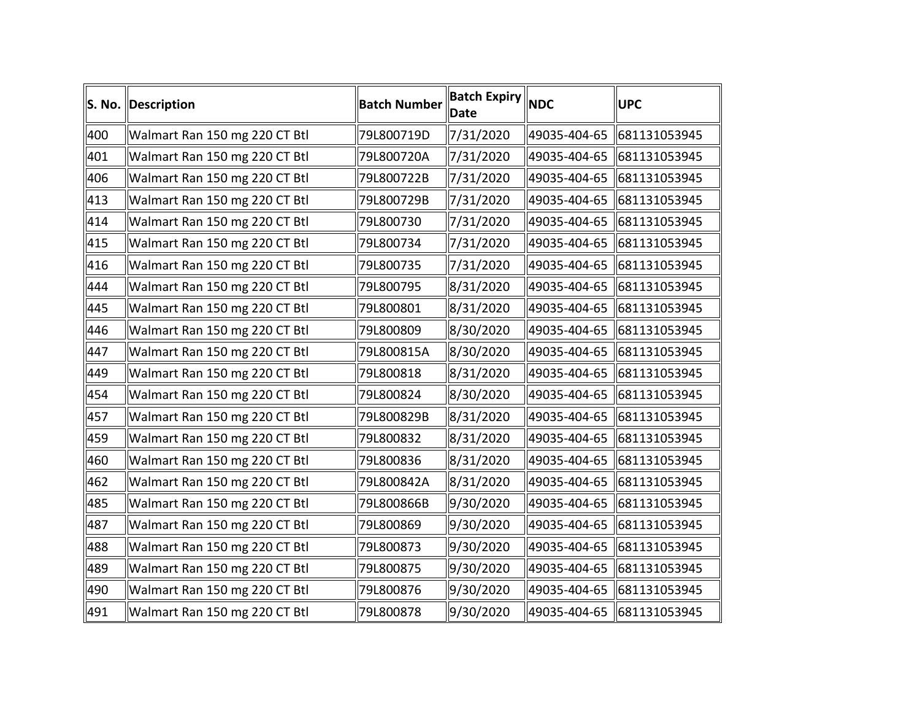|     | S. No. Description            | <b>Batch Number</b> | <b>Batch Expiry NDC</b><br><b>Date</b> | <b>UPC</b>                |
|-----|-------------------------------|---------------------|----------------------------------------|---------------------------|
| 400 | Walmart Ran 150 mg 220 CT Btl | 79L800719D          | 7/31/2020                              | 49035-404-65 681131053945 |
| 401 | Walmart Ran 150 mg 220 CT Btl | 79L800720A          | 7/31/2020                              | 49035-404-65 681131053945 |
| 406 | Walmart Ran 150 mg 220 CT Btl | 79L800722B          | 7/31/2020                              | 49035-404-65 681131053945 |
| 413 | Walmart Ran 150 mg 220 CT Btl | 79L800729B          | 7/31/2020                              | 49035-404-65 681131053945 |
| 414 | Walmart Ran 150 mg 220 CT Btl | 79L800730           | 7/31/2020                              | 49035-404-65 681131053945 |
| 415 | Walmart Ran 150 mg 220 CT Btl | 79L800734           | 7/31/2020                              | 49035-404-65 681131053945 |
| 416 | Walmart Ran 150 mg 220 CT Btl | 79L800735           | 7/31/2020                              | 49035-404-65 681131053945 |
| 444 | Walmart Ran 150 mg 220 CT Btl | 79L800795           | 8/31/2020                              | 49035-404-65 681131053945 |
| 445 | Walmart Ran 150 mg 220 CT Btl | 79L800801           | 8/31/2020                              | 49035-404-65 681131053945 |
| 446 | Walmart Ran 150 mg 220 CT Btl | 79L800809           | 8/30/2020                              | 49035-404-65 681131053945 |
| 447 | Walmart Ran 150 mg 220 CT Btl | 79L800815A          | 8/30/2020                              | 49035-404-65 681131053945 |
| 449 | Walmart Ran 150 mg 220 CT Btl | 79L800818           | 8/31/2020                              | 49035-404-65 681131053945 |
| 454 | Walmart Ran 150 mg 220 CT Btl | 79L800824           | 8/30/2020                              | 49035-404-65 681131053945 |
| 457 | Walmart Ran 150 mg 220 CT Btl | 79L800829B          | 8/31/2020                              | 49035-404-65 681131053945 |
| 459 | Walmart Ran 150 mg 220 CT Btl | 79L800832           | 8/31/2020                              | 49035-404-65 681131053945 |
| 460 | Walmart Ran 150 mg 220 CT Btl | 79L800836           | 8/31/2020                              | 49035-404-65 681131053945 |
| 462 | Walmart Ran 150 mg 220 CT Btl | 79L800842A          | 8/31/2020                              | 49035-404-65 681131053945 |
| 485 | Walmart Ran 150 mg 220 CT Btl | 79L800866B          | 9/30/2020                              | 49035-404-65 681131053945 |
| 487 | Walmart Ran 150 mg 220 CT Btl | 79L800869           | 9/30/2020                              | 49035-404-65 681131053945 |
| 488 | Walmart Ran 150 mg 220 CT Btl | 79L800873           | 9/30/2020                              | 49035-404-65 681131053945 |
| 489 | Walmart Ran 150 mg 220 CT Btl | 79L800875           | 9/30/2020                              | 49035-404-65 681131053945 |
| 490 | Walmart Ran 150 mg 220 CT Btl | 79L800876           | 9/30/2020                              | 49035-404-65 681131053945 |
| 491 | Walmart Ran 150 mg 220 CT Btl | 79L800878           | 9/30/2020                              | 49035-404-65 681131053945 |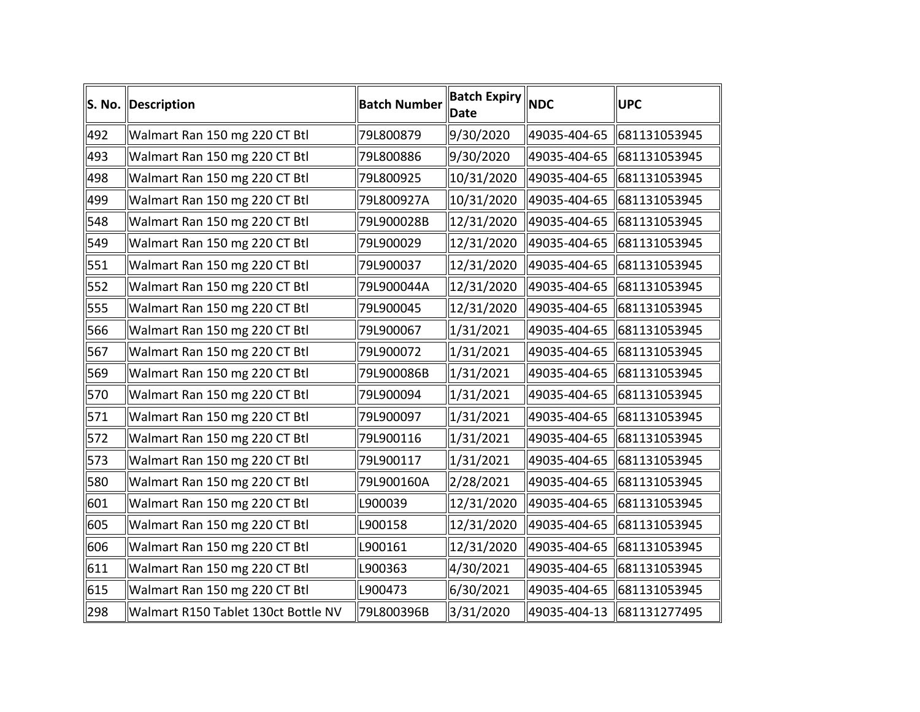|     | S. No. Description                  | <b>Batch Number</b> | <b>Batch Expiry NDC</b><br>Date | <b>UPC</b>                  |
|-----|-------------------------------------|---------------------|---------------------------------|-----------------------------|
| 492 | Walmart Ran 150 mg 220 CT Btl       | 79L800879           | 9/30/2020                       | 49035-404-65 681131053945   |
| 493 | Walmart Ran 150 mg 220 CT Btl       | 79L800886           | 9/30/2020                       | 49035-404-65 681131053945   |
| 498 | Walmart Ran 150 mg 220 CT Btl       | 79L800925           | 10/31/2020                      | 49035-404-65 681131053945   |
| 499 | Walmart Ran 150 mg 220 CT Btl       | 79L800927A          | 10/31/2020                      | 49035-404-65   681131053945 |
| 548 | Walmart Ran 150 mg 220 CT Btl       | 79L900028B          | 12/31/2020                      | 49035-404-65 681131053945   |
| 549 | Walmart Ran 150 mg 220 CT Btl       | 79L900029           | 12/31/2020                      | 49035-404-65 681131053945   |
| 551 | Walmart Ran 150 mg 220 CT Btl       | 79L900037           | 12/31/2020                      | 49035-404-65   681131053945 |
| 552 | Walmart Ran 150 mg 220 CT Btl       | 79L900044A          | 12/31/2020                      | 49035-404-65   681131053945 |
| 555 | Walmart Ran 150 mg 220 CT Btl       | 79L900045           | 12/31/2020                      | 49035-404-65   681131053945 |
| 566 | Walmart Ran 150 mg 220 CT Btl       | 79L900067           | $\ 1/31/2021$                   | 49035-404-65 681131053945   |
| 567 | Walmart Ran 150 mg 220 CT Btl       | 79L900072           | 1/31/2021                       | 49035-404-65 681131053945   |
| 569 | Walmart Ran 150 mg 220 CT Btl       | 79L900086B          | $\ 1/31/2021$                   | 49035-404-65 681131053945   |
| 570 | Walmart Ran 150 mg 220 CT Btl       | 79L900094           | $\ 1/31/2021$                   | 49035-404-65 681131053945   |
| 571 | Walmart Ran 150 mg 220 CT Btl       | 79L900097           | $\ 1/31/2021$                   | 49035-404-65 681131053945   |
| 572 | Walmart Ran 150 mg 220 CT Btl       | 79L900116           | $\ 1/31/2021$                   | 49035-404-65 681131053945   |
| 573 | Walmart Ran 150 mg 220 CT Btl       | 79L900117           | $\ 1/31/2021$                   | 49035-404-65 681131053945   |
| 580 | Walmart Ran 150 mg 220 CT Btl       | 79L900160A          | 2/28/2021                       | 49035-404-65 681131053945   |
| 601 | Walmart Ran 150 mg 220 CT Btl       | L900039             | 12/31/2020                      | 49035-404-65 681131053945   |
| 605 | Walmart Ran 150 mg 220 CT Btl       | L900158             | 12/31/2020                      | 49035-404-65 681131053945   |
| 606 | Walmart Ran 150 mg 220 CT Btl       | L900161             | 12/31/2020                      | 49035-404-65   681131053945 |
| 611 | Walmart Ran 150 mg 220 CT Btl       | L900363             | 4/30/2021                       | 49035-404-65 681131053945   |
| 615 | Walmart Ran 150 mg 220 CT Btl       | L900473             | 6/30/2021                       | 49035-404-65 681131053945   |
| 298 | Walmart R150 Tablet 130ct Bottle NV | 79L800396B          | 3/31/2020                       | 49035-404-13 681131277495   |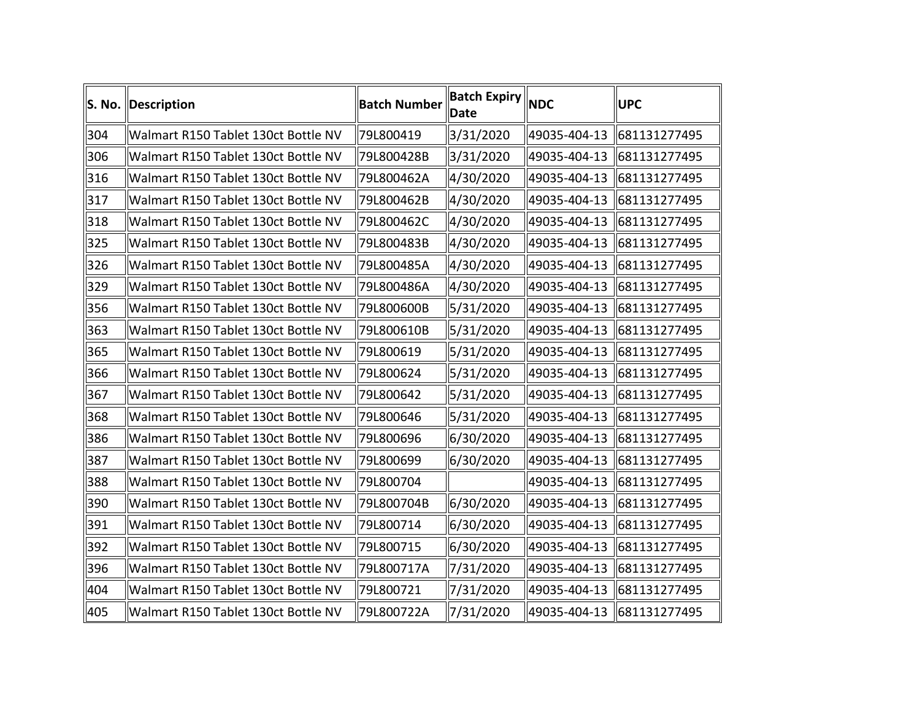|     | S. No. Description                  | <b>Batch Number</b> | <b>Batch Expiry</b><br><b>Date</b> | <b>NDC</b>   | <b>UPC</b>                |
|-----|-------------------------------------|---------------------|------------------------------------|--------------|---------------------------|
| 304 | Walmart R150 Tablet 130ct Bottle NV | 79L800419           | 3/31/2020                          | 49035-404-13 | 681131277495              |
| 306 | Walmart R150 Tablet 130ct Bottle NV | 79L800428B          | 3/31/2020                          | 49035-404-13 | 681131277495              |
| 316 | Walmart R150 Tablet 130ct Bottle NV | 79L800462A          | 4/30/2020                          | 49035-404-13 | 681131277495              |
| 317 | Walmart R150 Tablet 130ct Bottle NV | 79L800462B          | 4/30/2020                          | 49035-404-13 | 681131277495              |
| 318 | Walmart R150 Tablet 130ct Bottle NV | 79L800462C          | 4/30/2020                          | 49035-404-13 | 681131277495              |
| 325 | Walmart R150 Tablet 130ct Bottle NV | 79L800483B          | 4/30/2020                          | 49035-404-13 | 681131277495              |
| 326 | Walmart R150 Tablet 130ct Bottle NV | 79L800485A          | 4/30/2020                          | 49035-404-13 | 681131277495              |
| 329 | Walmart R150 Tablet 130ct Bottle NV | 79L800486A          | 4/30/2020                          | 49035-404-13 | 681131277495              |
| 356 | Walmart R150 Tablet 130ct Bottle NV | 79L800600B          | 5/31/2020                          |              | 49035-404-13 681131277495 |
| 363 | Walmart R150 Tablet 130ct Bottle NV | 79L800610B          | 5/31/2020                          | 49035-404-13 | 681131277495              |
| 365 | Walmart R150 Tablet 130ct Bottle NV | 79L800619           | 5/31/2020                          | 49035-404-13 | 681131277495              |
| 366 | Walmart R150 Tablet 130ct Bottle NV | 79L800624           | 5/31/2020                          | 49035-404-13 | 681131277495              |
| 367 | Walmart R150 Tablet 130ct Bottle NV | 79L800642           | 5/31/2020                          |              | 49035-404-13 681131277495 |
| 368 | Walmart R150 Tablet 130ct Bottle NV | 79L800646           | 5/31/2020                          | 49035-404-13 | 681131277495              |
| 386 | Walmart R150 Tablet 130ct Bottle NV | 79L800696           | 6/30/2020                          |              | 49035-404-13 681131277495 |
| 387 | Walmart R150 Tablet 130ct Bottle NV | 79L800699           | 6/30/2020                          | 49035-404-13 | 681131277495              |
| 388 | Walmart R150 Tablet 130ct Bottle NV | 79L800704           |                                    | 49035-404-13 | 681131277495              |
| 390 | Walmart R150 Tablet 130ct Bottle NV | 79L800704B          | 6/30/2020                          | 49035-404-13 | 681131277495              |
| 391 | Walmart R150 Tablet 130ct Bottle NV | 79L800714           | 6/30/2020                          | 49035-404-13 | 681131277495              |
| 392 | Walmart R150 Tablet 130ct Bottle NV | 79L800715           | 6/30/2020                          | 49035-404-13 | 681131277495              |
| 396 | Walmart R150 Tablet 130ct Bottle NV | 79L800717A          | 7/31/2020                          | 49035-404-13 | 681131277495              |
| 404 | Walmart R150 Tablet 130ct Bottle NV | 79L800721           | 7/31/2020                          | 49035-404-13 | 681131277495              |
| 405 | Walmart R150 Tablet 130ct Bottle NV | 79L800722A          | 7/31/2020                          |              | 49035-404-13 681131277495 |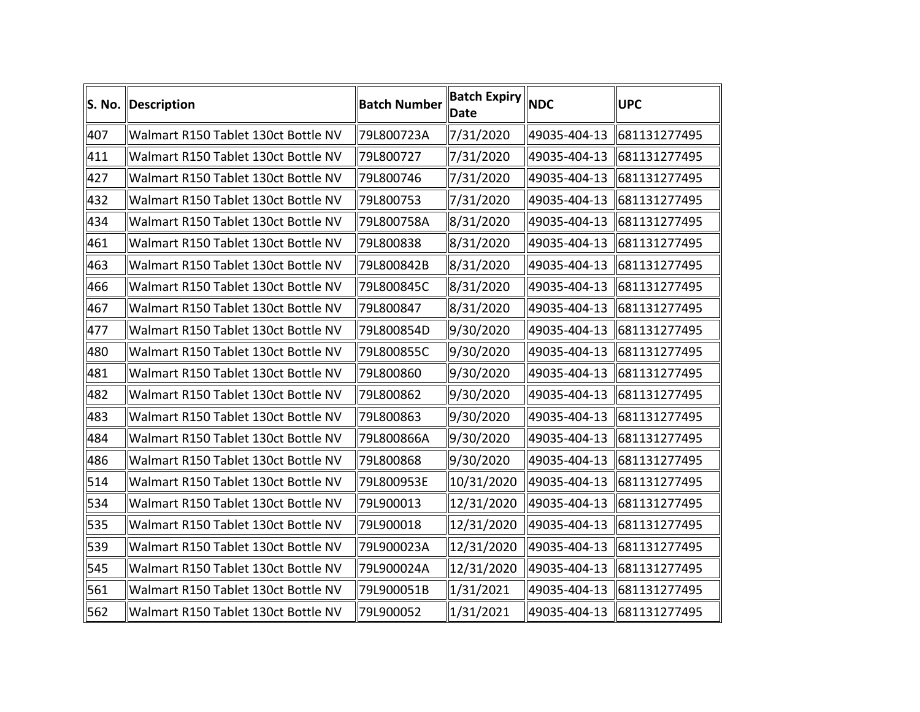|     | S. No. Description                  | <b>Batch Number</b> | <b>Batch Expiry</b><br><b>Date</b> | <b>NDC</b>   | <b>UPC</b>                |
|-----|-------------------------------------|---------------------|------------------------------------|--------------|---------------------------|
| 407 | Walmart R150 Tablet 130ct Bottle NV | 79L800723A          | 7/31/2020                          | 49035-404-13 | 681131277495              |
| 411 | Walmart R150 Tablet 130ct Bottle NV | 79L800727           | 7/31/2020                          | 49035-404-13 | 681131277495              |
| 427 | Walmart R150 Tablet 130ct Bottle NV | 79L800746           | 7/31/2020                          | 49035-404-13 | 681131277495              |
| 432 | Walmart R150 Tablet 130ct Bottle NV | 79L800753           | 7/31/2020                          | 49035-404-13 | 681131277495              |
| 434 | Walmart R150 Tablet 130ct Bottle NV | 79L800758A          | 8/31/2020                          | 49035-404-13 | 681131277495              |
| 461 | Walmart R150 Tablet 130ct Bottle NV | 79L800838           | 8/31/2020                          | 49035-404-13 | 681131277495              |
| 463 | Walmart R150 Tablet 130ct Bottle NV | 79L800842B          | 8/31/2020                          | 49035-404-13 | 681131277495              |
| 466 | Walmart R150 Tablet 130ct Bottle NV | 79L800845C          | 8/31/2020                          | 49035-404-13 | 681131277495              |
| 467 | Walmart R150 Tablet 130ct Bottle NV | 79L800847           | 8/31/2020                          |              | 49035-404-13 681131277495 |
| 477 | Walmart R150 Tablet 130ct Bottle NV | 79L800854D          | 9/30/2020                          | 49035-404-13 | 681131277495              |
| 480 | Walmart R150 Tablet 130ct Bottle NV | 79L800855C          | 9/30/2020                          | 49035-404-13 | 681131277495              |
| 481 | Walmart R150 Tablet 130ct Bottle NV | 79L800860           | 9/30/2020                          | 49035-404-13 | 681131277495              |
| 482 | Walmart R150 Tablet 130ct Bottle NV | 79L800862           | 9/30/2020                          |              | 49035-404-13 681131277495 |
| 483 | Walmart R150 Tablet 130ct Bottle NV | 79L800863           | 9/30/2020                          | 49035-404-13 | 681131277495              |
| 484 | Walmart R150 Tablet 130ct Bottle NV | 79L800866A          | 9/30/2020                          |              | 49035-404-13 681131277495 |
| 486 | Walmart R150 Tablet 130ct Bottle NV | 79L800868           | 9/30/2020                          | 49035-404-13 | 681131277495              |
| 514 | Walmart R150 Tablet 130ct Bottle NV | 79L800953E          | 10/31/2020                         | 49035-404-13 | 681131277495              |
| 534 | Walmart R150 Tablet 130ct Bottle NV | 79L900013           | 12/31/2020                         | 49035-404-13 | 681131277495              |
| 535 | Walmart R150 Tablet 130ct Bottle NV | 79L900018           | 12/31/2020                         | 49035-404-13 | 681131277495              |
| 539 | Walmart R150 Tablet 130ct Bottle NV | 79L900023A          | 12/31/2020                         | 49035-404-13 | 681131277495              |
| 545 | Walmart R150 Tablet 130ct Bottle NV | 79L900024A          | 12/31/2020                         | 49035-404-13 | 681131277495              |
| 561 | Walmart R150 Tablet 130ct Bottle NV | 79L900051B          | 1/31/2021                          | 49035-404-13 | 681131277495              |
| 562 | Walmart R150 Tablet 130ct Bottle NV | 79L900052           | 1/31/2021                          |              | 49035-404-13 681131277495 |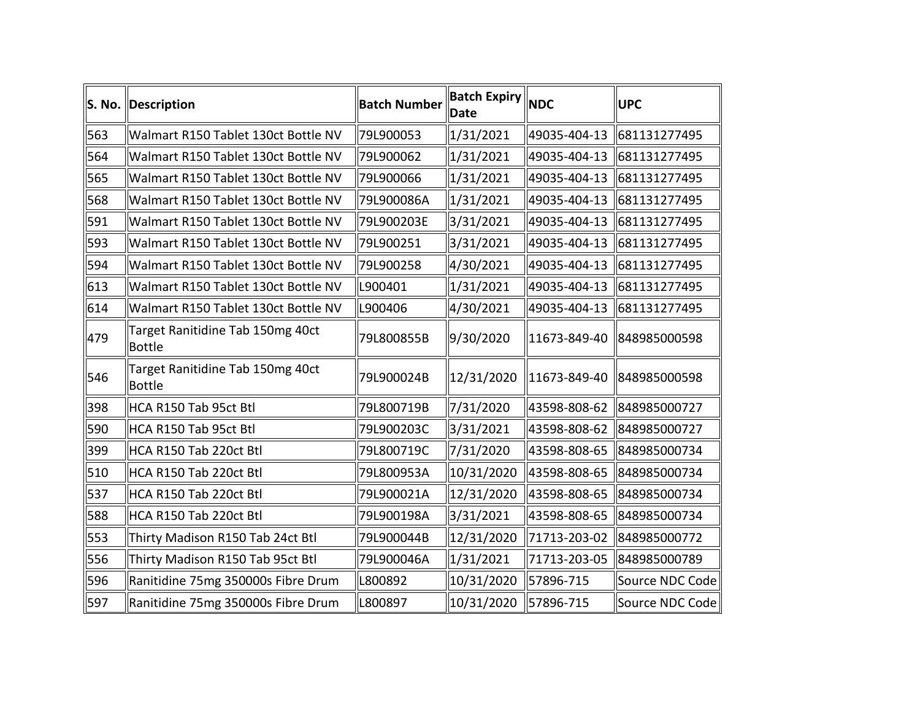| S. No. | Description                                       | <b>Batch Number</b> | <b>Batch Expiry</b><br>Date | <b>NDC</b>   | <b>UPC</b>                |
|--------|---------------------------------------------------|---------------------|-----------------------------|--------------|---------------------------|
| 563    | Walmart R150 Tablet 130ct Bottle NV               | 79L900053           | 1/31/2021                   |              | 49035-404-13 681131277495 |
| 564    | Walmart R150 Tablet 130ct Bottle NV               | 79L900062           | 1/31/2021                   | 49035-404-13 | 681131277495              |
| 565    | Walmart R150 Tablet 130ct Bottle NV               | 79L900066           | $\parallel$ 1/31/2021       |              | 49035-404-13 681131277495 |
| 568    | Walmart R150 Tablet 130ct Bottle NV               | 79L900086A          | $\parallel$ 1/31/2021       |              | 49035-404-13 681131277495 |
| 591    | Walmart R150 Tablet 130ct Bottle NV               | 79L900203E          | 3/31/2021                   |              | 49035-404-13 681131277495 |
| 593    | Walmart R150 Tablet 130ct Bottle NV               | 79L900251           | 3/31/2021                   | 49035-404-13 | 681131277495              |
| 594    | Walmart R150 Tablet 130ct Bottle NV               | 79L900258           | 4/30/2021                   |              | 49035-404-13 681131277495 |
| 613    | Walmart R150 Tablet 130ct Bottle NV               | L900401             | 1/31/2021                   | 49035-404-13 | 681131277495              |
| 614    | Walmart R150 Tablet 130ct Bottle NV               | L900406             | 4/30/2021                   | 49035-404-13 | 681131277495              |
| 479    | Target Ranitidine Tab 150mg 40ct<br>Bottle        | 79L800855B          | 9/30/2020                   |              | 11673-849-40 848985000598 |
| 546    | Target Ranitidine Tab 150mg 40ct<br><b>Bottle</b> | 79L900024B          | 12/31/2020                  |              | 11673-849-40 848985000598 |
| 398    | HCA R150 Tab 95ct Btl                             | 79L800719B          | 7/31/2020                   |              | 43598-808-62 848985000727 |
| 590    | HCA R150 Tab 95ct Btl                             | 79L900203C          | 3/31/2021                   | 43598-808-62 | 848985000727              |
| 399    | HCA R150 Tab 220ct Btl                            | 79L800719C          | 7/31/2020                   | 43598-808-65 | 848985000734              |
| 510    | HCA R150 Tab 220ct Btl                            | 79L800953A          | 10/31/2020                  | 43598-808-65 | 848985000734              |
| 537    | HCA R150 Tab 220ct Btl                            | 79L900021A          | 12/31/2020                  | 43598-808-65 | 848985000734              |
| 588    | HCA R150 Tab 220ct Btl                            | 79L900198A          | 3/31/2021                   | 43598-808-65 | 848985000734              |
| 553    | Thirty Madison R150 Tab 24ct Btl                  | 79L900044B          | 12/31/2020                  | 71713-203-02 | 848985000772              |
| 556    | Thirty Madison R150 Tab 95ct Btl                  | 79L900046A          | $\parallel$ 1/31/2021       | 71713-203-05 | 848985000789              |
| 596    | Ranitidine 75mg 350000s Fibre Drum                | L800892             | 10/31/2020                  | 57896-715    | Source NDC Code           |
| 597    | Ranitidine 75mg 350000s Fibre Drum                | L800897             | 10/31/2020                  | 57896-715    | Source NDC Code           |